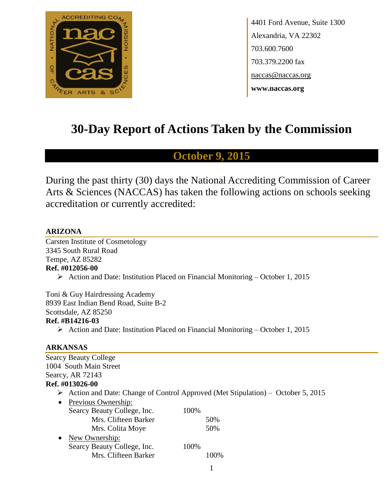

4401 Ford Avenue, Suite 1300 Alexandria, VA 22302 703.600.7600 703.379.2200 fax naccas@naccas.org **www.naccas.org**

# **30-Day Report of Actions Taken by the Commission**

# **October 9, 2015**

During the past thirty (30) days the National Accrediting Commission of Career Arts & Sciences (NACCAS) has taken the following actions on schools seeking accreditation or currently accredited:

#### **ARIZONA**

Carsten Institute of Cosmetology 3345 South Rural Road Tempe, AZ 85282 **Ref. #012056-00**

 $\triangleright$  Action and Date: Institution Placed on Financial Monitoring – October 1, 2015

Toni & Guy Hairdressing Academy 8939 East Indian Bend Road, Suite B-2 Scottsdale, AZ 85250 **Ref. #B14216-03**

Action and Date: Institution Placed on Financial Monitoring – October 1, 2015

#### **ARKANSAS**

| <b>Searcy Beauty College</b>     |                                                                                 |
|----------------------------------|---------------------------------------------------------------------------------|
| 1004 South Main Street           |                                                                                 |
| Searcy, AR 72143                 |                                                                                 |
| Ref. #013026-00                  |                                                                                 |
| ➤                                | Action and Date: Change of Control Approved (Met Stipulation) – October 5, 2015 |
| Previous Ownership:<br>$\bullet$ |                                                                                 |
| Searcy Beauty College, Inc.      | 100%                                                                            |
| Mrs. Clifteen Barker             | 50%                                                                             |
| Mrs. Colita Moye                 | 50%                                                                             |
| New Ownership:<br>$\bullet$      |                                                                                 |
| Searcy Beauty College, Inc.      | 100%                                                                            |
| Mrs. Clifteen Barker             | 100%                                                                            |
|                                  |                                                                                 |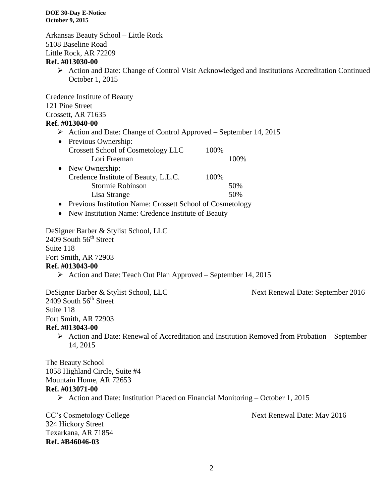Arkansas Beauty School – Little Rock 5108 Baseline Road Little Rock, AR 72209

#### **Ref. #013030-00**

 Action and Date: Change of Control Visit Acknowledged and Institutions Accreditation Continued – October 1, 2015

Credence Institute of Beauty 121 Pine Street Crossett, AR 71635

#### **Ref. #013040-00**

Action and Date: Change of Control Approved – September 14, 2015

| $\bullet$ | Previous Ownership:                  |      |       |
|-----------|--------------------------------------|------|-------|
|           | Crossett School of Cosmetology LLC   | 100% |       |
|           | Lori Freeman                         |      | 100\% |
| $\bullet$ | New Ownership:                       |      |       |
|           | Credence Institute of Beauty, L.L.C. | 100% |       |
|           | Stormie Robinson                     |      | 50%   |
|           | Lisa Strange                         |      | 50%   |

• Previous Institution Name: Crossett School of Cosmetology

• New Institution Name: Credence Institute of Beauty

DeSigner Barber & Stylist School, LLC  $2409$  South  $56<sup>th</sup>$  Street Suite 118 Fort Smith, AR 72903 **Ref. #013043-00**

 $\triangleright$  Action and Date: Teach Out Plan Approved – September 14, 2015

DeSigner Barber & Stylist School, LLC Next Renewal Date: September 2016  $2409$  South  $56<sup>th</sup>$  Street Suite 118 Fort Smith, AR 72903 **Ref. #013043-00**

 $\triangleright$  Action and Date: Renewal of Accreditation and Institution Removed from Probation – September 14, 2015

The Beauty School 1058 Highland Circle, Suite #4 Mountain Home, AR 72653 **Ref. #013071-00**

Action and Date: Institution Placed on Financial Monitoring – October 1, 2015

CC's Cosmetology College Next Renewal Date: May 2016

324 Hickory Street Texarkana, AR 71854 **Ref. #B46046-03**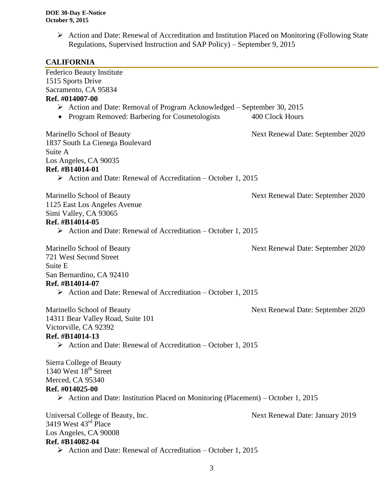$\triangleright$  Action and Date: Renewal of Accreditation and Institution Placed on Monitoring (Following State Regulations, Supervised Instruction and SAP Policy) – September 9, 2015

#### **CALIFORNIA**

Federico Beauty Institute 1515 Sports Drive Sacramento, CA 95834 **Ref. #014007-00** Action and Date: Removal of Program Acknowledged – September 30, 2015 • Program Removed: Barbering for Cosmetologists 400 Clock Hours Marinello School of Beauty Next Renewal Date: September 2020 1837 South La Cienega Boulevard Suite A Los Angeles, CA 90035 **Ref. #B14014-01**  $\triangleright$  Action and Date: Renewal of Accreditation – October 1, 2015 Marinello School of Beauty Next Renewal Date: September 2020 1125 East Los Angeles Avenue Simi Valley, CA 93065 **Ref. #B14014-05** Action and Date: Renewal of Accreditation – October 1, 2015 Marinello School of Beauty Next Renewal Date: September 2020 721 West Second Street Suite E San Bernardino, CA 92410 **Ref. #B14014-07**  $\triangleright$  Action and Date: Renewal of Accreditation – October 1, 2015 Marinello School of Beauty Next Renewal Date: September 2020 14311 Bear Valley Road, Suite 101 Victorville, CA 92392 **Ref. #B14014-13**  $\triangleright$  Action and Date: Renewal of Accreditation – October 1, 2015 Sierra College of Beauty 1340 West  $18^{th}$  Street Merced, CA 95340 **Ref. #014025-00** Action and Date: Institution Placed on Monitoring (Placement) – October 1, 2015 Universal College of Beauty, Inc. Next Renewal Date: January 2019 3419 West 43<sup>rd</sup> Place Los Angeles, CA 90008 **Ref. #B14082-04**  $\triangleright$  Action and Date: Renewal of Accreditation – October 1, 2015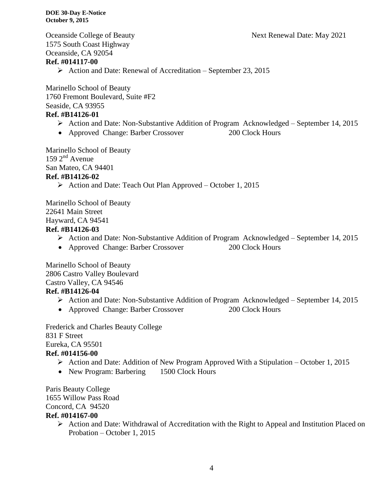Oceanside College of Beauty Next Renewal Date: May 2021

1575 South Coast Highway Oceanside, CA 92054 **Ref. #014117-00**

 $\triangleright$  Action and Date: Renewal of Accreditation – September 23, 2015

Marinello School of Beauty 1760 Fremont Boulevard, Suite #F2 Seaside, CA 93955

#### **Ref. #B14126-01**

- Action and Date: Non-Substantive Addition of Program Acknowledged September 14, 2015
- Approved Change: Barber Crossover 200 Clock Hours

Marinello School of Beauty  $159$   $2^{nd}$  Avenue San Mateo, CA 94401 **Ref. #B14126-02**

Action and Date: Teach Out Plan Approved – October 1, 2015

Marinello School of Beauty 22641 Main Street Hayward, CA 94541

#### **Ref. #B14126-03**

- Action and Date: Non-Substantive Addition of Program Acknowledged September 14, 2015
- Approved Change: Barber Crossover 200 Clock Hours

Marinello School of Beauty 2806 Castro Valley Boulevard Castro Valley, CA 94546

## **Ref. #B14126-04**

- Action and Date: Non-Substantive Addition of Program Acknowledged September 14, 2015
- Approved Change: Barber Crossover 200 Clock Hours
	-

Frederick and Charles Beauty College 831 F Street Eureka, CA 95501

#### **Ref. #014156-00**

- $\triangleright$  Action and Date: Addition of New Program Approved With a Stipulation October 1, 2015
- New Program: Barbering 1500 Clock Hours

Paris Beauty College 1655 Willow Pass Road Concord, CA 94520

# **Ref. #014167-00**

 Action and Date: Withdrawal of Accreditation with the Right to Appeal and Institution Placed on Probation – October 1, 2015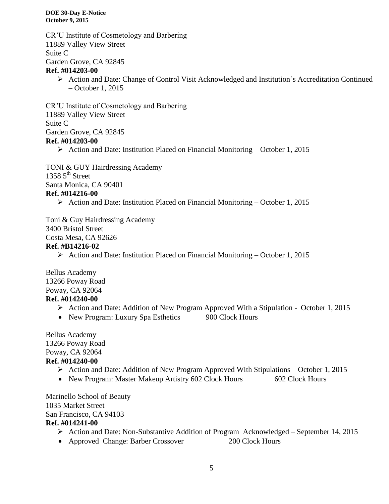CR'U Institute of Cosmetology and Barbering 11889 Valley View Street Suite C Garden Grove, CA 92845 **Ref. #014203-00**

 Action and Date: Change of Control Visit Acknowledged and Institution's Accreditation Continued – October 1, 2015

CR'U Institute of Cosmetology and Barbering 11889 Valley View Street Suite C Garden Grove, CA 92845 **Ref. #014203-00**

Action and Date: Institution Placed on Financial Monitoring – October 1, 2015

TONI & GUY Hairdressing Academy 1358  $5<sup>th</sup>$  Street

Santa Monica, CA 90401

#### **Ref. #014216-00**

Action and Date: Institution Placed on Financial Monitoring – October 1, 2015

Toni & Guy Hairdressing Academy 3400 Bristol Street

Costa Mesa, CA 92626

#### **Ref. #B14216-02**

Action and Date: Institution Placed on Financial Monitoring – October 1, 2015

Bellus Academy 13266 Poway Road Poway, CA 92064 **Ref. #014240-00**

- Action and Date: Addition of New Program Approved With a Stipulation October 1, 2015
- New Program: Luxury Spa Esthetics 900 Clock Hours

Bellus Academy 13266 Poway Road Poway, CA 92064 **Ref. #014240-00**

- $\triangleright$  Action and Date: Addition of New Program Approved With Stipulations October 1, 2015
- New Program: Master Makeup Artistry 602 Clock Hours 602 Clock Hours

Marinello School of Beauty 1035 Market Street San Francisco, CA 94103 **Ref. #014241-00**

- Action and Date: Non-Substantive Addition of Program Acknowledged September 14, 2015
- Approved Change: Barber Crossover 200 Clock Hours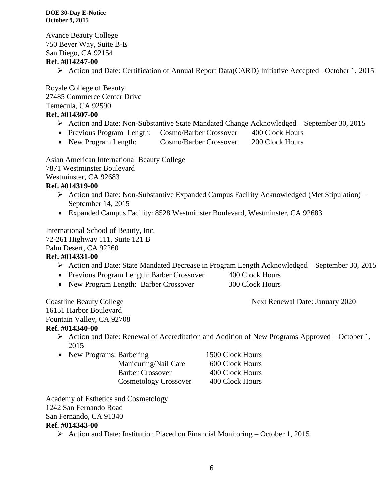Avance Beauty College 750 Beyer Way, Suite B-E San Diego, CA 92154

#### **Ref. #014247-00**

Action and Date: Certification of Annual Report Data(CARD) Initiative Accepted– October 1, 2015

Royale College of Beauty 27485 Commerce Center Drive Temecula, CA 92590

#### **Ref. #014307-00**

- Action and Date: Non-Substantive State Mandated Change Acknowledged September 30, 2015
- Previous Program Length: Cosmo/Barber Crossover 400 Clock Hours
- New Program Length: Cosmo/Barber Crossover 200 Clock Hours

Asian American International Beauty College 7871 Westminster Boulevard Westminster, CA 92683

#### **Ref. #014319-00**

- $\triangleright$  Action and Date: Non-Substantive Expanded Campus Facility Acknowledged (Met Stipulation) September 14, 2015
- Expanded Campus Facility: 8528 Westminster Boulevard, Westminster, CA 92683

International School of Beauty, Inc.

72-261 Highway 111, Suite 121 B

Palm Desert, CA 92260

#### **Ref. #014331-00**

- Action and Date: State Mandated Decrease in Program Length Acknowledged September 30, 2015
- Previous Program Length: Barber Crossover 400 Clock Hours
- New Program Length: Barber Crossover 300 Clock Hours

Coastline Beauty College Next Renewal Date: January 2020

16151 Harbor Boulevard Fountain Valley, CA 92708

#### **Ref. #014340-00**

- Action and Date: Renewal of Accreditation and Addition of New Programs Approved October 1, 2015
- New Programs: Barbering 1500 Clock Hours
	- Manicuring/Nail Care 600 Clock Hours Barber Crossover 400 Clock Hours Cosmetology Crossover 400 Clock Hours

Academy of Esthetics and Cosmetology 1242 San Fernando Road San Fernando, CA 91340 **Ref. #014343-00**

 $\triangleright$  Action and Date: Institution Placed on Financial Monitoring – October 1, 2015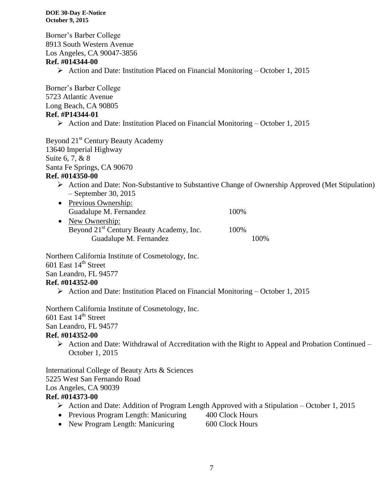Borner's Barber College 8913 South Western Avenue Los Angeles, CA 90047-3856 **Ref. #014344-00**  $\triangleright$  Action and Date: Institution Placed on Financial Monitoring – October 1, 2015 Borner's Barber College 5723 Atlantic Avenue Long Beach, CA 90805 **Ref. #P14344-01**  $\triangleright$  Action and Date: Institution Placed on Financial Monitoring – October 1, 2015 Beyond 21<sup>st</sup> Century Beauty Academy 13640 Imperial Highway Suite 6, 7, & 8 Santa Fe Springs, CA 90670 **Ref. #014350-00** Action and Date: Non-Substantive to Substantive Change of Ownership Approved (Met Stipulation) – September 30, 2015 • Previous Ownership: Guadalupe M. Fernandez 100% • New Ownership: Beyond 21<sup>st</sup> Century Beauty Academy, Inc. 100% Guadalupe M. Fernandez 100% Northern California Institute of Cosmetology, Inc. 601 East  $14<sup>th</sup>$  Street San Leandro, FL 94577 **Ref. #014352-00**  $\triangleright$  Action and Date: Institution Placed on Financial Monitoring – October 1, 2015 Northern California Institute of Cosmetology, Inc. 601 East  $14<sup>th</sup>$  Street San Leandro, FL 94577 **Ref. #014352-00**  $\triangleright$  Action and Date: Withdrawal of Accreditation with the Right to Appeal and Probation Continued – October 1, 2015 International College of Beauty Arts & Sciences 5225 West San Fernando Road Los Angeles, CA 90039 **Ref. #014373-00**  $\triangleright$  Action and Date: Addition of Program Length Approved with a Stipulation – October 1, 2015

- Previous Program Length: Manicuring 400 Clock Hours
- New Program Length: Manicuring 600 Clock Hours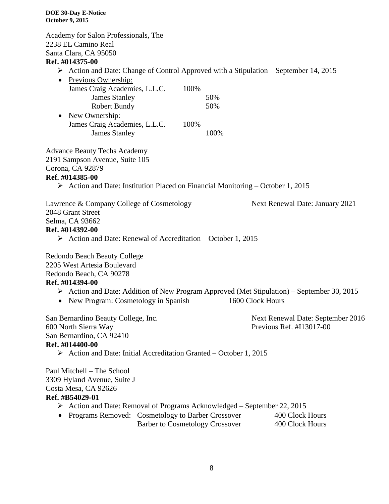Academy for Salon Professionals, The 2238 EL Camino Real Santa Clara, CA 95050

#### **Ref. #014375-00**

 $\triangleright$  Action and Date: Change of Control Approved with a Stipulation – September 14, 2015

| Previous Ownership:           |      |     |
|-------------------------------|------|-----|
| James Craig Academies, L.L.C. | 100% |     |
| <b>James Stanley</b>          |      | 50% |
| Robert Bundy                  |      | 50% |
| New Ownership:                |      |     |
| James Craig Academies, L.L.C. | 100% |     |
| <b>James Stanley</b>          |      |     |

Advance Beauty Techs Academy

2191 Sampson Avenue, Suite 105

Corona, CA 92879

#### **Ref. #014385-00**

 $\triangleright$  Action and Date: Institution Placed on Financial Monitoring – October 1, 2015

| Lawrence & Company College of Cosmetology | Next Renewal Date: January 2021 |
|-------------------------------------------|---------------------------------|
| 2048 Grant Street                         |                                 |
| Selma, CA 93662                           |                                 |
| Ref. #014392-00                           |                                 |

 $\triangleright$  Action and Date: Renewal of Accreditation – October 1, 2015

Redondo Beach Beauty College

2205 West Artesia Boulevard

Redondo Beach, CA 90278

#### **Ref. #014394-00**

- Action and Date: Addition of New Program Approved (Met Stipulation) September 30, 2015
- New Program: Cosmetology in Spanish 1600 Clock Hours

San Bernardino Beauty College, Inc. Next Renewal Date: September 2016 600 North Sierra Way Previous Ref. #I13017-00 San Bernardino, CA 92410 **Ref. #014400-00**

 $\triangleright$  Action and Date: Initial Accreditation Granted – October 1, 2015

Paul Mitchell – The School 3309 Hyland Avenue, Suite J Costa Mesa, CA 92626 **Ref. #B54029-01**

- Action and Date: Removal of Programs Acknowledged September 22, 2015
- Programs Removed: Cosmetology to Barber Crossover 400 Clock Hours Barber to Cosmetology Crossover 400 Clock Hours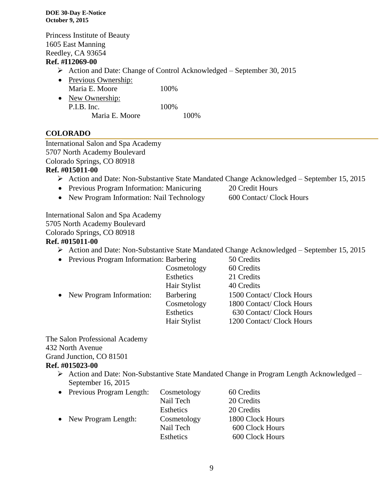Princess Institute of Beauty 1605 East Manning Reedley, CA 93654

#### **Ref. #I12069-00**

- Action and Date: Change of Control Acknowledged September 30, 2015
- Previous Ownership:
- Maria E. Moore 100% • New Ownership: P.I.B. Inc. 100% Maria E. Moore 100%

# **COLORADO**

International Salon and Spa Academy 5707 North Academy Boulevard

Colorado Springs, CO 80918

#### **Ref. #015011-00**

- Action and Date: Non-Substantive State Mandated Change Acknowledged September 15, 2015
- Previous Program Information: Manicuring 20 Credit Hours
- New Program Information: Nail Technology 600 Contact/ Clock Hours
- 

International Salon and Spa Academy 5705 North Academy Boulevard Colorado Springs, CO 80918

#### **Ref. #015011-00**

- Action and Date: Non-Substantive State Mandated Change Acknowledged September 15, 2015
- Previous Program Information: Barbering 50 Credits

|                            | Cosmetology  | 60 Credits                |
|----------------------------|--------------|---------------------------|
|                            | Esthetics    | 21 Credits                |
|                            | Hair Stylist | 40 Credits                |
| • New Program Information: | Barbering    | 1500 Contact/ Clock Hours |
|                            | Cosmetology  | 1800 Contact/ Clock Hours |
|                            | Esthetics    | 630 Contact/ Clock Hours  |
|                            | Hair Stylist | 1200 Contact/ Clock Hours |
|                            |              |                           |

The Salon Professional Academy 432 North Avenue Grand Junction, CO 81501 **Ref. #015023-00**

### Action and Date: Non-Substantive State Mandated Change in Program Length Acknowledged – September 16, 2015

| • Previous Program Length: | Cosmetology      | 60 Credits       |
|----------------------------|------------------|------------------|
|                            | Nail Tech        | 20 Credits       |
|                            | <b>Esthetics</b> | 20 Credits       |
| • New Program Length:      | Cosmetology      | 1800 Clock Hours |
|                            | Nail Tech        | 600 Clock Hours  |
|                            | Esthetics        | 600 Clock Hours  |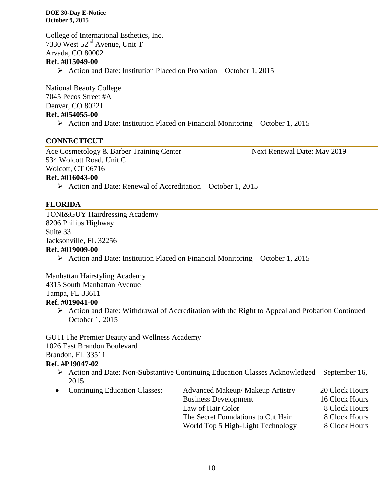College of International Esthetics, Inc. 7330 West 52nd Avenue, Unit T Arvada, CO 80002 **Ref. #015049-00**  $\triangleright$  Action and Date: Institution Placed on Probation – October 1, 2015

National Beauty College 7045 Pecos Street #A Denver, CO 80221 **Ref. #054055-00**

 $\triangleright$  Action and Date: Institution Placed on Financial Monitoring – October 1, 2015

#### **CONNECTICUT**

Ace Cosmetology & Barber Training Center Next Renewal Date: May 2019 534 Wolcott Road, Unit C Wolcott, CT 06716

**Ref. #016043-00**

 $\triangleright$  Action and Date: Renewal of Accreditation – October 1, 2015

#### **FLORIDA**

TONI&GUY Hairdressing Academy 8206 Philips Highway Suite 33 Jacksonville, FL 32256 **Ref. #019009-00**

 $\triangleright$  Action and Date: Institution Placed on Financial Monitoring – October 1, 2015

Manhattan Hairstyling Academy

4315 South Manhattan Avenue

Tampa, FL 33611

#### **Ref. #019041-00**

 $\triangleright$  Action and Date: Withdrawal of Accreditation with the Right to Appeal and Probation Continued – October 1, 2015

GUTI The Premier Beauty and Wellness Academy 1026 East Brandon Boulevard Brandon, FL 33511

#### **Ref. #P19047-02**

- $\triangleright$  Action and Date: Non-Substantive Continuing Education Classes Acknowledged September 16, 2015
- 

• Continuing Education Classes: Advanced Makeup/ Makeup Artistry 20 Clock Hours Business Development 16 Clock Hours Law of Hair Color 8 Clock Hours The Secret Foundations to Cut Hair 8 Clock Hours World Top 5 High-Light Technology 8 Clock Hours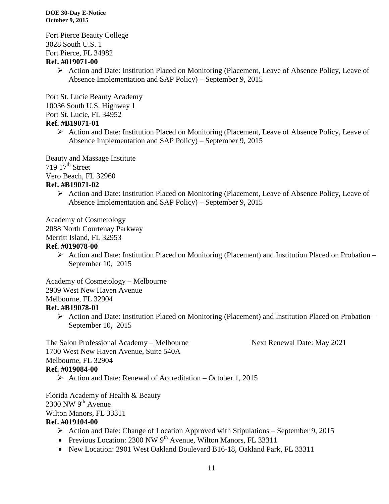Fort Pierce Beauty College 3028 South U.S. 1 Fort Pierce, FL 34982

#### **Ref. #019071-00**

 Action and Date: Institution Placed on Monitoring (Placement, Leave of Absence Policy, Leave of Absence Implementation and SAP Policy) – September 9, 2015

Port St. Lucie Beauty Academy 10036 South U.S. Highway 1

Port St. Lucie, FL 34952

## **Ref. #B19071-01**

 $\triangleright$  Action and Date: Institution Placed on Monitoring (Placement, Leave of Absence Policy, Leave of Absence Implementation and SAP Policy) – September 9, 2015

Beauty and Massage Institute  $719\,17<sup>th</sup>$  Street

Vero Beach, FL 32960

#### **Ref. #B19071-02**

 Action and Date: Institution Placed on Monitoring (Placement, Leave of Absence Policy, Leave of Absence Implementation and SAP Policy) – September 9, 2015

Academy of Cosmetology 2088 North Courtenay Parkway Merritt Island, FL 32953

#### **Ref. #019078-00**

 $\triangleright$  Action and Date: Institution Placed on Monitoring (Placement) and Institution Placed on Probation – September 10, 2015

Academy of Cosmetology – Melbourne 2909 West New Haven Avenue Melbourne, FL 32904 **Ref. #B19078-01**

 Action and Date: Institution Placed on Monitoring (Placement) and Institution Placed on Probation – September 10, 2015

The Salon Professional Academy – Melbourne Next Renewal Date: May 2021 1700 West New Haven Avenue, Suite 540A Melbourne, FL 32904 **Ref. #019084-00**

Action and Date: Renewal of Accreditation – October 1, 2015

Florida Academy of Health & Beauty  $2300$  NW 9<sup>th</sup> Avenue Wilton Manors, FL 33311

#### **Ref. #019104-00**

- $\triangleright$  Action and Date: Change of Location Approved with Stipulations September 9, 2015
- Previous Location:  $2300 \text{ NW } 9^{\text{th}}$  Avenue, Wilton Manors, FL 33311
- New Location: 2901 West Oakland Boulevard B16-18, Oakland Park, FL 33311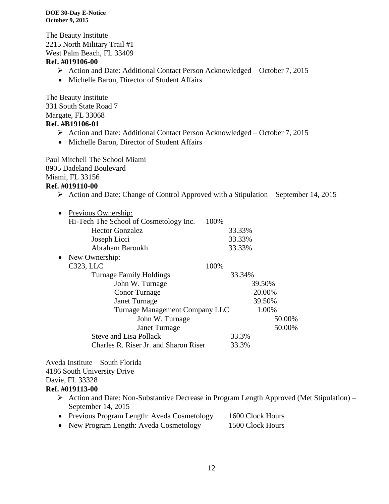The Beauty Institute 2215 North Military Trail #1 West Palm Beach, FL 33409

#### **Ref. #019106-00**

- Action and Date: Additional Contact Person Acknowledged October 7, 2015
- Michelle Baron, Director of Student Affairs

The Beauty Institute 331 South State Road 7 Margate, FL 33068

# **Ref. #B19106-01**

- Action and Date: Additional Contact Person Acknowledged October 7, 2015
- Michelle Baron, Director of Student Affairs

Paul Mitchell The School Miami 8905 Dadeland Boulevard Miami, FL 33156 **Ref. #019110-00**

 $\triangleright$  Action and Date: Change of Control Approved with a Stipulation – September 14, 2015

| $\bullet$ | Previous Ownership:                    |        |        |
|-----------|----------------------------------------|--------|--------|
|           | Hi-Tech The School of Cosmetology Inc. | 100%   |        |
|           | <b>Hector Gonzalez</b>                 | 33.33% |        |
|           | Joseph Licci                           | 33.33% |        |
|           | Abraham Baroukh                        | 33.33% |        |
| $\bullet$ | <u>New Ownership:</u>                  |        |        |
|           | C323, LLC                              | 100%   |        |
|           | <b>Turnage Family Holdings</b>         | 33.34% |        |
|           | John W. Turnage                        |        | 39.50% |
|           | <b>Conor</b> Turnage                   |        | 20.00% |
|           | <b>Janet Turnage</b>                   |        | 39.50% |
|           | Turnage Management Company LLC         |        | 1.00%  |
|           | John W. Turnage                        |        | 50.00% |
|           | <b>Janet Turnage</b>                   |        | 50.00% |
|           | <b>Steve and Lisa Pollack</b>          | 33.3%  |        |
|           | Charles R. Riser Jr. and Sharon Riser  | 33.3%  |        |

Aveda Institute – South Florida 4186 South University Drive Davie, FL 33328 **Ref. #019113-00**

> Action and Date: Non-Substantive Decrease in Program Length Approved (Met Stipulation) – September 14, 2015

| • Previous Program Length: Aveda Cosmetology | 1600 Clock Hours |
|----------------------------------------------|------------------|
| • New Program Length: Aveda Cosmetology      | 1500 Clock Hours |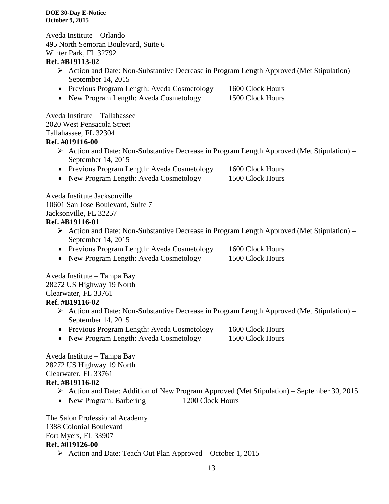Aveda Institute – Orlando 495 North Semoran Boulevard, Suite 6 Winter Park, FL 32792

#### **Ref. #B19113-02**

- Action and Date: Non-Substantive Decrease in Program Length Approved (Met Stipulation) September 14, 2015
- Previous Program Length: Aveda Cosmetology 1600 Clock Hours
- New Program Length: Aveda Cosmetology 1500 Clock Hours

Aveda Institute – Tallahassee 2020 West Pensacola Street Tallahassee, FL 32304

### **Ref. #019116-00**

 $\triangleright$  Action and Date: Non-Substantive Decrease in Program Length Approved (Met Stipulation) – September 14, 2015

|  | • Previous Program Length: Aveda Cosmetology |  |  | 1600 Clock Hours |
|--|----------------------------------------------|--|--|------------------|
|--|----------------------------------------------|--|--|------------------|

• New Program Length: Aveda Cosmetology 1500 Clock Hours

Aveda Institute Jacksonville 10601 San Jose Boulevard, Suite 7 Jacksonville, FL 32257

### **Ref. #B19116-01**

- Action and Date: Non-Substantive Decrease in Program Length Approved (Met Stipulation) September 14, 2015
- Previous Program Length: Aveda Cosmetology 1600 Clock Hours
- New Program Length: Aveda Cosmetology 1500 Clock Hours

Aveda Institute – Tampa Bay 28272 US Highway 19 North Clearwater, FL 33761 **Ref. #B19116-02**

- $\triangleright$  Action and Date: Non-Substantive Decrease in Program Length Approved (Met Stipulation) September 14, 2015
- Previous Program Length: Aveda Cosmetology 1600 Clock Hours
- New Program Length: Aveda Cosmetology 1500 Clock Hours

Aveda Institute – Tampa Bay 28272 US Highway 19 North Clearwater, FL 33761

- **Ref. #B19116-02**
	- Action and Date: Addition of New Program Approved (Met Stipulation) September 30, 2015
	- New Program: Barbering 1200 Clock Hours

The Salon Professional Academy 1388 Colonial Boulevard Fort Myers, FL 33907 **Ref. #019126-00**

 $\triangleright$  Action and Date: Teach Out Plan Approved – October 1, 2015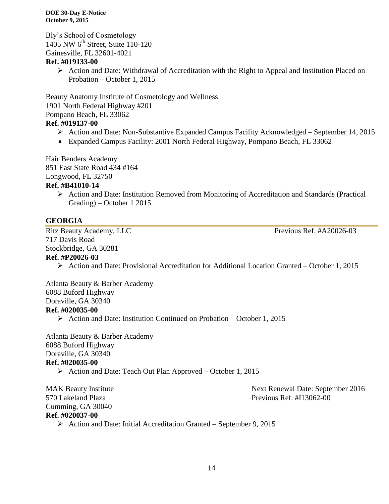Bly's School of Cosmetology 1405 NW 6<sup>th</sup> Street, Suite 110-120 Gainesville, FL 32601-4021

#### **Ref. #019133-00**

 Action and Date: Withdrawal of Accreditation with the Right to Appeal and Institution Placed on Probation – October 1, 2015

Beauty Anatomy Institute of Cosmetology and Wellness 1901 North Federal Highway #201 Pompano Beach, FL 33062

# **Ref. #019137-00**

- Action and Date: Non-Substantive Expanded Campus Facility Acknowledged September 14, 2015
- Expanded Campus Facility: 2001 North Federal Highway, Pompano Beach, FL 33062

Hair Benders Academy 851 East State Road 434 #164 Longwood, FL 32750 **Ref. #B41010-14**

> $\triangleright$  Action and Date: Institution Removed from Monitoring of Accreditation and Standards (Practical Grading) – October 1 2015

### **GEORGIA**

Ritz Beauty Academy, LLC Previous Ref. #A20026-03 717 Davis Road Stockbridge, GA 30281 **Ref. #P20026-03**

Action and Date: Provisional Accreditation for Additional Location Granted – October 1, 2015

Atlanta Beauty & Barber Academy 6088 Buford Highway Doraville, GA 30340 **Ref. #020035-00**

 $\triangleright$  Action and Date: Institution Continued on Probation – October 1, 2015

Atlanta Beauty & Barber Academy 6088 Buford Highway Doraville, GA 30340 **Ref. #020035-00**

 $\triangleright$  Action and Date: Teach Out Plan Approved – October 1, 2015

Cumming, GA 30040 **Ref. #020037-00**

MAK Beauty Institute **Next Renewal Date: September 2016** 570 Lakeland Plaza Previous Ref. #I13062-00

 $\triangleright$  Action and Date: Initial Accreditation Granted – September 9, 2015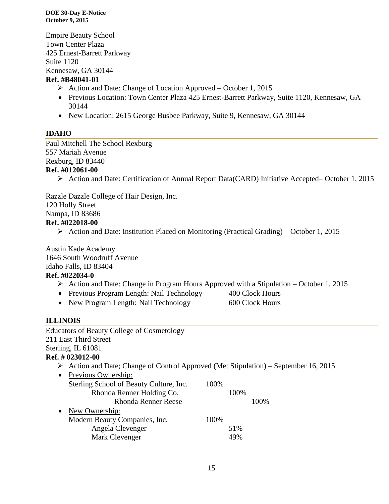Empire Beauty School Town Center Plaza 425 Ernest-Barrett Parkway Suite 1120 Kennesaw, GA 30144

#### **Ref. #B48041-01**

- $\triangleright$  Action and Date: Change of Location Approved October 1, 2015
- Previous Location: Town Center Plaza 425 Ernest-Barrett Parkway, Suite 1120, Kennesaw, GA 30144
- New Location: 2615 George Busbee Parkway, Suite 9, Kennesaw, GA 30144

# **IDAHO**

Paul Mitchell The School Rexburg 557 Mariah Avenue Rexburg, ID 83440 **Ref. #012061-00**

Action and Date: Certification of Annual Report Data(CARD) Initiative Accepted– October 1, 2015

Razzle Dazzle College of Hair Design, Inc.

120 Holly Street

Nampa, ID 83686

#### **Ref. #022018-00**

 $\triangleright$  Action and Date: Institution Placed on Monitoring (Practical Grading) – October 1, 2015

Austin Kade Academy 1646 South Woodruff Avenue Idaho Falls, ID 83404 **Ref. #022034-0**

- $\triangleright$  Action and Date: Change in Program Hours Approved with a Stipulation October 1, 2015
- Previous Program Length: Nail Technology 400 Clock Hours
- New Program Length: Nail Technology 600 Clock Hours

# **ILLINOIS**

| <b>Educators of Beauty College of Cosmetology</b>                                       |      |
|-----------------------------------------------------------------------------------------|------|
| 211 East Third Street                                                                   |      |
| Sterling, IL 61081                                                                      |      |
| <b>Ref.</b> # 023012-00                                                                 |      |
| Action and Date; Change of Control Approved (Met Stipulation) – September 16, 2015<br>➤ |      |
| Previous Ownership:                                                                     |      |
| Sterling School of Beauty Culture, Inc.                                                 | 100% |
| Rhonda Renner Holding Co.                                                               | 100% |
| <b>Rhonda Renner Reese</b>                                                              | 100% |
| New Ownership:                                                                          |      |
| Modern Beauty Companies, Inc.                                                           | 100% |
| Angela Clevenger                                                                        | 51%  |
| Mark Clevenger                                                                          | 49%  |
|                                                                                         |      |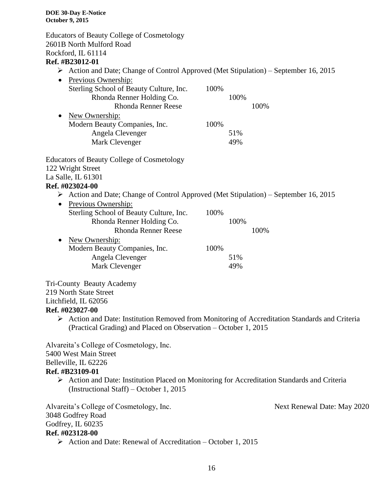Educators of Beauty College of Cosmetology 2601B North Mulford Road Rockford, IL 61114 **Ref. #B23012-01** Action and Date; Change of Control Approved (Met Stipulation) – September 16, 2015 • Previous Ownership: Sterling School of Beauty Culture, Inc. 100% Rhonda Renner Holding Co. 100% Rhonda Renner Reese 100% • New Ownership: Modern Beauty Companies, Inc. 100% Angela Clevenger 51% Mark Clevenger 49% Educators of Beauty College of Cosmetology 122 Wright Street La Salle, IL 61301 **Ref. #023024-00**  $\triangleright$  Action and Date; Change of Control Approved (Met Stipulation) – September 16, 2015 • Previous Ownership: Sterling School of Beauty Culture, Inc. 100% Rhonda Renner Holding Co. 100% Rhonda Renner Reese 100% • New Ownership: Modern Beauty Companies, Inc. 100% Angela Clevenger 51% Mark Clevenger 49% Tri-County Beauty Academy 219 North State Street Litchfield, IL 62056 **Ref. #023027-00**  $\triangleright$  Action and Date: Institution Removed from Monitoring of Accreditation Standards and Criteria (Practical Grading) and Placed on Observation – October 1, 2015

Alvareita's College of Cosmetology, Inc. 5400 West Main Street Belleville, IL 62226 **Ref. #B23109-01**

 Action and Date: Institution Placed on Monitoring for Accreditation Standards and Criteria (Instructional Staff) – October 1, 2015

Alvareita's College of Cosmetology, Inc. Next Renewal Date: May 2020 3048 Godfrey Road Godfrey, IL 60235

#### **Ref. #023128-00**

 $\triangleright$  Action and Date: Renewal of Accreditation – October 1, 2015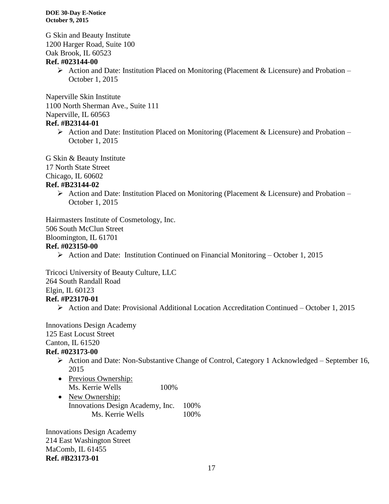G Skin and Beauty Institute 1200 Harger Road, Suite 100 Oak Brook, IL 60523

#### **Ref. #023144-00**

 $\triangleright$  Action and Date: Institution Placed on Monitoring (Placement & Licensure) and Probation – October 1, 2015

Naperville Skin Institute 1100 North Sherman Ave., Suite 111 Naperville, IL 60563

# **Ref. #B23144-01**

Action and Date: Institution Placed on Monitoring (Placement & Licensure) and Probation – October 1, 2015

G Skin & Beauty Institute

17 North State Street

Chicago, IL 60602

#### **Ref. #B23144-02**

Action and Date: Institution Placed on Monitoring (Placement & Licensure) and Probation – October 1, 2015

Hairmasters Institute of Cosmetology, Inc. 506 South McClun Street Bloomington, IL 61701 **Ref. #023150-00**

Action and Date: Institution Continued on Financial Monitoring – October 1, 2015

Tricoci University of Beauty Culture, LLC 264 South Randall Road Elgin, IL 60123 **Ref. #P23170-01**

Action and Date: Provisional Additional Location Accreditation Continued – October 1, 2015

Innovations Design Academy 125 East Locust Street Canton, IL 61520 **Ref. #023173-00**

- Action and Date: Non-Substantive Change of Control, Category 1 Acknowledged September 16, 2015
- Previous Ownership: Ms. Kerrie Wells 100%
- New Ownership: Innovations Design Academy, Inc. 100% Ms. Kerrie Wells 100%

Innovations Design Academy 214 East Washington Street MaComb, IL 61455 **Ref. #B23173-01**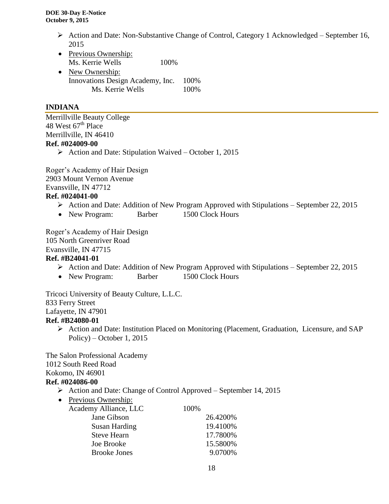- Action and Date: Non-Substantive Change of Control, Category 1 Acknowledged September 16, 2015
- Previous Ownership: Ms. Kerrie Wells 100%
- New Ownership: Innovations Design Academy, Inc. 100% Ms. Kerrie Wells 100%

### **INDIANA**

Merrillville Beauty College 48 West  $67<sup>th</sup>$  Place Merrillville, IN 46410 **Ref. #024009-00**

 $\triangleright$  Action and Date: Stipulation Waived – October 1, 2015

Roger's Academy of Hair Design 2903 Mount Vernon Avenue Evansville, IN 47712 **Ref. #024041-00**

- $\triangleright$  Action and Date: Addition of New Program Approved with Stipulations September 22, 2015
- New Program: Barber 1500 Clock Hours

Roger's Academy of Hair Design

105 North Greenriver Road

Evansville, IN 47715

#### **Ref. #B24041-01**

- $\triangleright$  Action and Date: Addition of New Program Approved with Stipulations September 22, 2015
- New Program: Barber 1500 Clock Hours

Tricoci University of Beauty Culture, L.L.C. 833 Ferry Street Lafayette, IN 47901 **Ref. #B24080-01**

 Action and Date: Institution Placed on Monitoring (Placement, Graduation, Licensure, and SAP Policy) – October 1, 2015

The Salon Professional Academy 1012 South Reed Road Kokomo, IN 46901 **Ref. #024086-00**

- Action and Date: Change of Control Approved September 14, 2015
- Previous Ownership:

| Academy Alliance, LLC | 100%     |
|-----------------------|----------|
| Jane Gibson           | 26.4200% |
| Susan Harding         | 19.4100% |
| <b>Steve Hearn</b>    | 17.7800% |
| Joe Brooke            | 15.5800% |
| <b>Brooke Jones</b>   | 9.0700%  |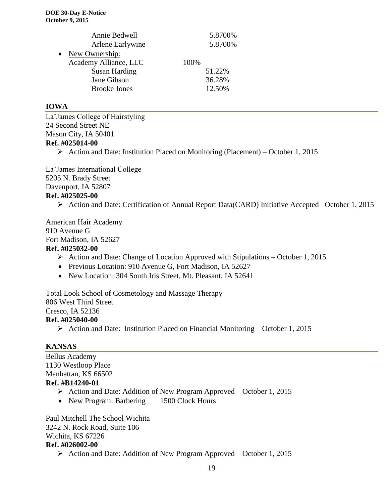|           | Annie Bedwell         |      | 5.8700% |
|-----------|-----------------------|------|---------|
|           | Arlene Earlywine      |      | 5.8700% |
| $\bullet$ | New Ownership:        |      |         |
|           | Academy Alliance, LLC | 100% |         |
|           | <b>Susan Harding</b>  |      | 51.22%  |
|           | Jane Gibson           |      | 36.28%  |
|           | <b>Brooke Jones</b>   |      | 12.50%  |

#### **IOWA**

La'James College of Hairstyling 24 Second Street NE Mason City, IA 50401 **Ref. #025014-00**

 $\triangleright$  Action and Date: Institution Placed on Monitoring (Placement) – October 1, 2015

La'James International College 5205 N. Brady Street Davenport, IA 52807 **Ref. #025025-00**

Action and Date: Certification of Annual Report Data(CARD) Initiative Accepted– October 1, 2015

American Hair Academy 910 Avenue G Fort Madison, IA 52627

### **Ref. #025032-00**

- $\triangleright$  Action and Date: Change of Location Approved with Stipulations October 1, 2015
- Previous Location: 910 Avenue G, Fort Madison, IA 52627
- New Location: 304 South Iris Street, Mt. Pleasant, IA 52641

Total Look School of Cosmetology and Massage Therapy 806 West Third Street Cresco, IA 52136 **Ref. #025040-00**

Action and Date: Institution Placed on Financial Monitoring – October 1, 2015

#### **KANSAS**

Bellus Academy 1130 Westloop Place Manhattan, KS 66502 **Ref. #B14240-01**

- Action and Date: Addition of New Program Approved October 1, 2015
- New Program: Barbering 1500 Clock Hours

Paul Mitchell The School Wichita 3242 N. Rock Road, Suite 106 Wichita, KS 67226 **Ref. #026002-00**

Action and Date: Addition of New Program Approved – October 1, 2015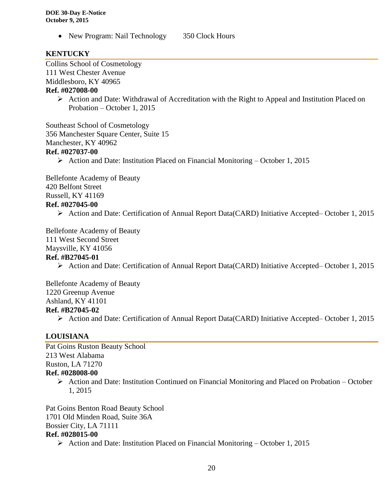• New Program: Nail Technology 350 Clock Hours

#### **KENTUCKY**

Collins School of Cosmetology

111 West Chester Avenue

Middlesboro, KY 40965

#### **Ref. #027008-00**

 $\triangleright$  Action and Date: Withdrawal of Accreditation with the Right to Appeal and Institution Placed on Probation – October 1, 2015

Southeast School of Cosmetology 356 Manchester Square Center, Suite 15 Manchester, KY 40962 **Ref. #027037-00**

Action and Date: Institution Placed on Financial Monitoring – October 1, 2015

Bellefonte Academy of Beauty 420 Belfont Street Russell, KY 41169 **Ref. #027045-00**

Action and Date: Certification of Annual Report Data(CARD) Initiative Accepted– October 1, 2015

Bellefonte Academy of Beauty

111 West Second Street

Maysville, KY 41056

# **Ref. #B27045-01**

Action and Date: Certification of Annual Report Data(CARD) Initiative Accepted– October 1, 2015

Bellefonte Academy of Beauty 1220 Greenup Avenue Ashland, KY 41101 **Ref. #B27045-02**

Action and Date: Certification of Annual Report Data(CARD) Initiative Accepted– October 1, 2015

#### **LOUISIANA**

Pat Goins Ruston Beauty School 213 West Alabama Ruston, LA 71270

#### **Ref. #028008-00**

 $\triangleright$  Action and Date: Institution Continued on Financial Monitoring and Placed on Probation – October 1, 2015

Pat Goins Benton Road Beauty School 1701 Old Minden Road, Suite 36A Bossier City, LA 71111 **Ref. #028015-00**

Action and Date: Institution Placed on Financial Monitoring – October 1, 2015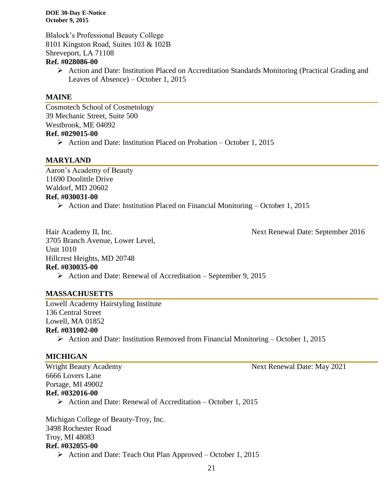Blalock's Professional Beauty College 8101 Kingston Road, Suites 103 & 102B Shreveport, LA 71108

#### **Ref. #028086-00**

 Action and Date: Institution Placed on Accreditation Standards Monitoring (Practical Grading and Leaves of Absence) – October 1, 2015

#### **MAINE**

Cosmotech School of Cosmetology 39 Mechanic Street, Suite 500 Westbrook, ME 04092 **Ref. #029015-00**  $\triangleright$  Action and Date: Institution Placed on Probation – October 1, 2015

**MARYLAND**

Aaron's Academy of Beauty 11690 Doolittle Drive Waldorf, MD 20602 **Ref. #030031-00**

Action and Date: Institution Placed on Financial Monitoring – October 1, 2015

3705 Branch Avenue, Lower Level, Unit 1010 Hillcrest Heights, MD 20748 **Ref. #030035-00** Action and Date: Renewal of Accreditation – September 9, 2015

Hair Academy II, Inc. Next Renewal Date: September 2016

**MASSACHUSETTS** 

Lowell Academy Hairstyling Institute 136 Central Street Lowell, MA 01852

- **Ref. #031002-00**
	- Action and Date: Institution Removed from Financial Monitoring October 1, 2015

#### **MICHIGAN**

6666 Lovers Lane Portage, MI 49002 **Ref. #032016-00**

 $\triangleright$  Action and Date: Renewal of Accreditation – October 1, 2015

Michigan College of Beauty-Troy, Inc. 3498 Rochester Road Troy, MI 48083 **Ref. #032055-00**

Action and Date: Teach Out Plan Approved – October 1, 2015

Wright Beauty Academy Next Renewal Date: May 2021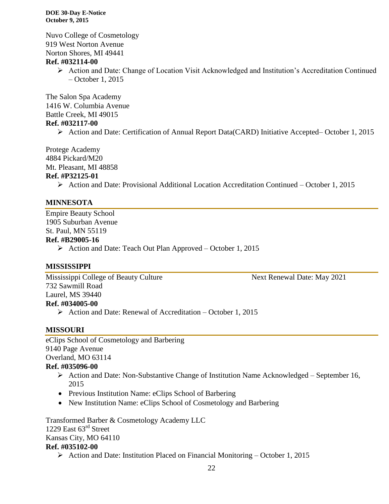Nuvo College of Cosmetology 919 West Norton Avenue Norton Shores, MI 49441

#### **Ref. #032114-00**

 $\triangleright$  Action and Date: Change of Location Visit Acknowledged and Institution's Accreditation Continued – October 1, 2015

The Salon Spa Academy 1416 W. Columbia Avenue Battle Creek, MI 49015 **Ref. #032117-00**

Action and Date: Certification of Annual Report Data(CARD) Initiative Accepted– October 1, 2015

Protege Academy 4884 Pickard/M20 Mt. Pleasant, MI 48858 **Ref. #P32125-01**

 $\triangleright$  Action and Date: Provisional Additional Location Accreditation Continued – October 1, 2015

#### **MINNESOTA**

Empire Beauty School 1905 Suburban Avenue St. Paul, MN 55119

#### **Ref. #B29005-16**

 $\triangleright$  Action and Date: Teach Out Plan Approved – October 1, 2015

#### **MISSISSIPPI**

Mississippi College of Beauty Culture Next Renewal Date: May 2021 732 Sawmill Road Laurel, MS 39440 **Ref. #034005-00**

Action and Date: Renewal of Accreditation – October 1, 2015

#### **MISSOURI**

eClips School of Cosmetology and Barbering 9140 Page Avenue Overland, MO 63114

#### **Ref. #035096-00**

- $\triangleright$  Action and Date: Non-Substantive Change of Institution Name Acknowledged September 16, 2015
- Previous Institution Name: eClips School of Barbering
- New Institution Name: eClips School of Cosmetology and Barbering

Transformed Barber & Cosmetology Academy LLC 1229 East 63<sup>rd</sup> Street Kansas City, MO 64110 **Ref. #035102-00**

 $\triangleright$  Action and Date: Institution Placed on Financial Monitoring – October 1, 2015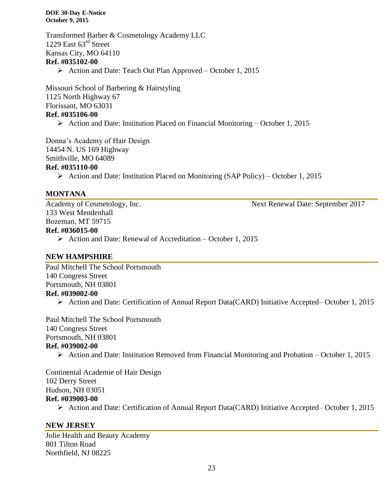Transformed Barber & Cosmetology Academy LLC 1229 East 63<sup>rd</sup> Street Kansas City, MO 64110 **Ref. #035102-00**

 $\triangleright$  Action and Date: Teach Out Plan Approved – October 1, 2015

Missouri School of Barbering & Hairstyling 1125 North Highway 67 Florissant, MO 63031 **Ref. #035106-00**

 $\triangleright$  Action and Date: Institution Placed on Financial Monitoring – October 1, 2015

Donna's Academy of Hair Design 14454 N. US 169 Highway

Smithville, MO 64089

#### **Ref. #035110-00**

 $\triangleright$  Action and Date: Institution Placed on Monitoring (SAP Policy) – October 1, 2015

#### **MONTANA**

133 West Mendenhall Bozeman, MT 59715

Academy of Cosmetology, Inc. Next Renewal Date: September 2017

#### **Ref. #036015-00**

 $\triangleright$  Action and Date: Renewal of Accreditation – October 1, 2015

#### **NEW HAMPSHIRE**

Paul Mitchell The School Portsmouth 140 Congress Street Portsmouth, NH 03801 **Ref. #039002-00**

Action and Date: Certification of Annual Report Data(CARD) Initiative Accepted– October 1, 2015

Paul Mitchell The School Portsmouth 140 Congress Street Portsmouth, NH 03801 **Ref. #039002-00**

 $\triangleright$  Action and Date: Institution Removed from Financial Monitoring and Probation – October 1, 2015

Continental Academie of Hair Design 102 Derry Street Hudson, NH 03051 **Ref. #039003-00**

Action and Date: Certification of Annual Report Data(CARD) Initiative Accepted– October 1, 2015

#### **NEW JERSEY**

Jolie Health and Beauty Academy 801 Tilton Road Northfield, NJ 08225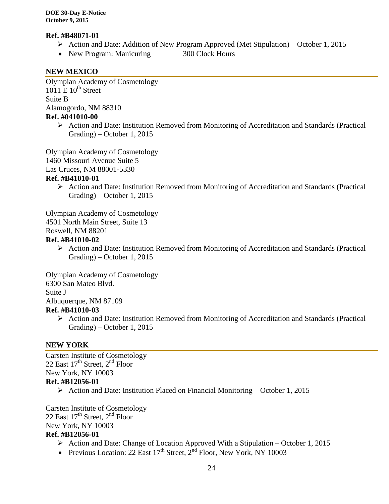#### **Ref. #B48071-01**

- Action and Date: Addition of New Program Approved (Met Stipulation) October 1, 2015
- New Program: Manicuring 300 Clock Hours

#### **NEW MEXICO**

Olympian Academy of Cosmetology 1011 E  $10^{th}$  Street Suite B Alamogordo, NM 88310 **Ref. #041010-00**

> $\triangleright$  Action and Date: Institution Removed from Monitoring of Accreditation and Standards (Practical Grading) – October 1, 2015

Olympian Academy of Cosmetology

1460 Missouri Avenue Suite 5

Las Cruces, NM 88001-5330

#### **Ref. #B41010-01**

 $\triangleright$  Action and Date: Institution Removed from Monitoring of Accreditation and Standards (Practical Grading) – October 1, 2015

Olympian Academy of Cosmetology 4501 North Main Street, Suite 13 Roswell, NM 88201

#### **Ref. #B41010-02**

 Action and Date: Institution Removed from Monitoring of Accreditation and Standards (Practical Grading) – October 1, 2015

Olympian Academy of Cosmetology 6300 San Mateo Blvd. Suite J Albuquerque, NM 87109

#### **Ref. #B41010-03**

 Action and Date: Institution Removed from Monitoring of Accreditation and Standards (Practical Grading) – October 1, 2015

#### **NEW YORK**

Carsten Institute of Cosmetology 22 East  $17<sup>th</sup>$  Street,  $2<sup>nd</sup>$  Floor New York, NY 10003 **Ref. #B12056-01**

Action and Date: Institution Placed on Financial Monitoring – October 1, 2015

Carsten Institute of Cosmetology 22 East  $17<sup>th</sup>$  Street,  $2<sup>nd</sup>$  Floor New York, NY 10003

# **Ref. #B12056-01**

- $\triangleright$  Action and Date: Change of Location Approved With a Stipulation October 1, 2015
- Previous Location: 22 East  $17<sup>th</sup>$  Street,  $2<sup>nd</sup>$  Floor, New York, NY 10003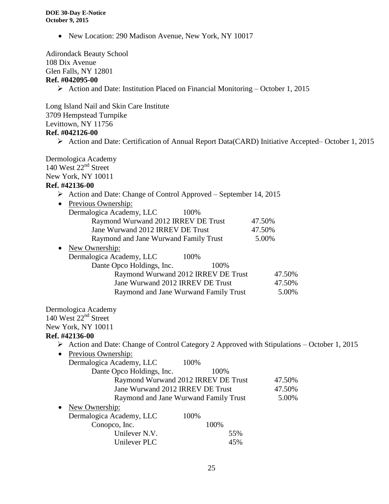• New Location: 290 Madison Avenue, New York, NY 10017

Adirondack Beauty School 108 Dix Avenue Glen Falls, NY 12801

#### **Ref. #042095-00**

Action and Date: Institution Placed on Financial Monitoring – October 1, 2015

Long Island Nail and Skin Care Institute 3709 Hempstead Turnpike Levittown, NY 11756 **Ref. #042126-00**

Action and Date: Certification of Annual Report Data(CARD) Initiative Accepted– October 1, 2015

Dermologica Academy  $140$  West  $22<sup>nd</sup>$  Street New York, NY 10011 **Ref. #42136-00** Action and Date: Change of Control Approved – September 14, 2015 • Previous Ownership: Dermalogica Academy, LLC 100% Raymond Wurwand 2012 IRREV DE Trust 47.50% Jane Wurwand 2012 IRREV DE Trust 47.50% Raymond and Jane Wurwand Family Trust 5.00% • New Ownership: Dermalogica Academy, LLC 100% Dante Opco Holdings, Inc. 100% Raymond Wurwand 2012 IRREV DE Trust 47.50% Jane Wurwand 2012 IRREV DE Trust 47.50% Raymond and Jane Wurwand Family Trust 5.00% Dermologica Academy  $140$  West  $22<sup>nd</sup>$  Street New York, NY 10011 **Ref. #42136-00**  $\triangleright$  Action and Date: Change of Control Category 2 Approved with Stipulations – October 1, 2015 • Previous Ownership: Dermalogica Academy, LLC 100% Dante Opco Holdings, Inc. 100% Raymond Wurwand 2012 IRREV DE Trust 47.50% Jane Wurwand 2012 IRREV DE Trust 47.50% Raymond and Jane Wurwand Family Trust 5.00% • New Ownership: Dermalogica Academy, LLC 100% Conopco, Inc. 100% Unilever N.V. 55% Unilever PLC 45%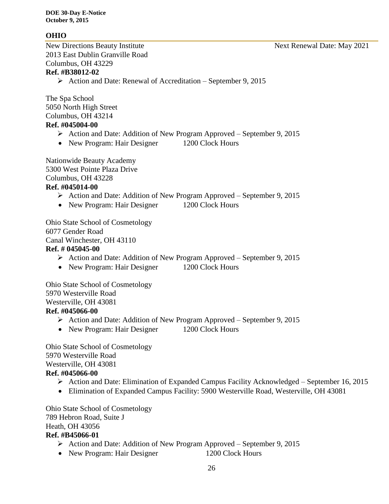#### **OHIO**

New Directions Beauty Institute Next Renewal Date: May 2021 2013 East Dublin Granville Road Columbus, OH 43229 **Ref. #B38012-02**

### $\triangleright$  Action and Date: Renewal of Accreditation – September 9, 2015

The Spa School 5050 North High Street Columbus, OH 43214 **Ref. #045004-00**

- Action and Date: Addition of New Program Approved September 9, 2015
- New Program: Hair Designer 1200 Clock Hours

Nationwide Beauty Academy 5300 West Pointe Plaza Drive Columbus, OH 43228 **Ref. #045014-00**

# $\triangleright$  Action and Date: Addition of New Program Approved – September 9, 2015

• New Program: Hair Designer 1200 Clock Hours

Ohio State School of Cosmetology 6077 Gender Road Canal Winchester, OH 43110

#### **Ref. # 045045-00**

- $\triangleright$  Action and Date: Addition of New Program Approved September 9, 2015
- New Program: Hair Designer 1200 Clock Hours

Ohio State School of Cosmetology 5970 Westerville Road Westerville, OH 43081

### **Ref. #045066-00**

- Action and Date: Addition of New Program Approved September 9, 2015
- New Program: Hair Designer 1200 Clock Hours

Ohio State School of Cosmetology 5970 Westerville Road Westerville, OH 43081

### **Ref. #045066-00**

- Action and Date: Elimination of Expanded Campus Facility Acknowledged September 16, 2015
- Elimination of Expanded Campus Facility: 5900 Westerville Road, Westerville, OH 43081

Ohio State School of Cosmetology 789 Hebron Road, Suite J Heath, OH 43056

#### **Ref. #B45066-01**

- $\triangleright$  Action and Date: Addition of New Program Approved September 9, 2015
- New Program: Hair Designer 1200 Clock Hours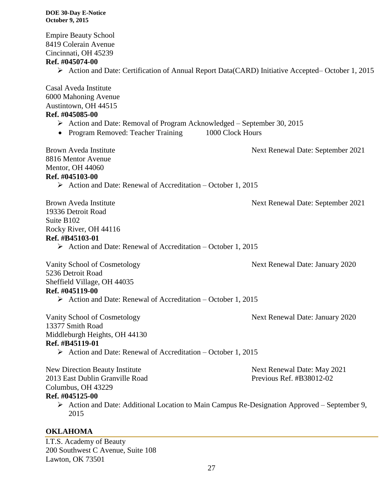Empire Beauty School 8419 Colerain Avenue Cincinnati, OH 45239

#### **Ref. #045074-00**

Action and Date: Certification of Annual Report Data(CARD) Initiative Accepted– October 1, 2015

Casal Aveda Institute 6000 Mahoning Avenue Austintown, OH 44515 **Ref. #045085-00**

- Action and Date: Removal of Program Acknowledged September 30, 2015
- Program Removed: Teacher Training 1000 Clock Hours

Brown Aveda Institute Next Renewal Date: September 2021 8816 Mentor Avenue Mentor, OH 44060 **Ref. #045103-00**

 $\triangleright$  Action and Date: Renewal of Accreditation – October 1, 2015

Brown Aveda Institute Next Renewal Date: September 2021 19336 Detroit Road Suite B102 Rocky River, OH 44116 **Ref. #B45103-01**  $\triangleright$  Action and Date: Renewal of Accreditation – October 1, 2015

Vanity School of Cosmetology Next Renewal Date: January 2020

5236 Detroit Road Sheffield Village, OH 44035 **Ref. #045119-00**

 $\triangleright$  Action and Date: Renewal of Accreditation – October 1, 2015

Vanity School of Cosmetology Next Renewal Date: January 2020 13377 Smith Road Middleburgh Heights, OH 44130 **Ref. #B45119-01**

Action and Date: Renewal of Accreditation – October 1, 2015

New Direction Beauty Institute<br>
2013 Fast Dublin Granville Road<br>
2013 Fast Dublin Granville Road<br>
2013 Fast Dublin Granville Road 2013 East Dublin Granville Road Columbus, OH 43229 **Ref. #045125-00**

 Action and Date: Additional Location to Main Campus Re-Designation Approved – September 9, 2015

## **OKLAHOMA**

I.T.S. Academy of Beauty 200 Southwest C Avenue, Suite 108 Lawton, OK 73501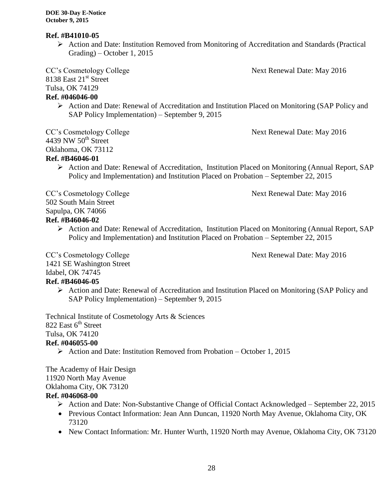#### **Ref. #B41010-05**

 Action and Date: Institution Removed from Monitoring of Accreditation and Standards (Practical Grading) – October 1, 2015

CC's Cosmetology College Next Renewal Date: May 2016

8138 East 21<sup>st</sup> Street

Tulsa, OK 74129

# **Ref. #046046-00**

 Action and Date: Renewal of Accreditation and Institution Placed on Monitoring (SAP Policy and SAP Policy Implementation) – September 9, 2015

CC's Cosmetology College  $\sim$  Next Renewal Date: May 2016 4439 NW  $50<sup>th</sup>$  Street Oklahoma, OK 73112 **Ref. #B46046-01**

 $\triangleright$  Action and Date: Renewal of Accreditation, Institution Placed on Monitoring (Annual Report, SAP) Policy and Implementation) and Institution Placed on Probation – September 22, 2015

CC's Cosmetology College Next Renewal Date: May 2016

502 South Main Street

Sapulpa, OK 74066

### **Ref. #B46046-02**

 Action and Date: Renewal of Accreditation, Institution Placed on Monitoring (Annual Report, SAP Policy and Implementation) and Institution Placed on Probation – September 22, 2015

CC's Cosmetology College Next Renewal Date: May 2016

1421 SE Washington Street

#### Idabel, OK 74745 **Ref. #B46046-05**

 Action and Date: Renewal of Accreditation and Institution Placed on Monitoring (SAP Policy and SAP Policy Implementation) – September 9, 2015

Technical Institute of Cosmetology Arts & Sciences

822 East  $6<sup>th</sup>$  Street

Tulsa, OK 74120

# **Ref. #046055-00**

 $\triangleright$  Action and Date: Institution Removed from Probation – October 1, 2015

The Academy of Hair Design 11920 North May Avenue Oklahoma City, OK 73120

# **Ref. #046068-00**

- Action and Date: Non-Substantive Change of Official Contact Acknowledged September 22, 2015
- Previous Contact Information: Jean Ann Duncan, 11920 North May Avenue, Oklahoma City, OK 73120
- New Contact Information: Mr. Hunter Wurth, 11920 North may Avenue, Oklahoma City, OK 73120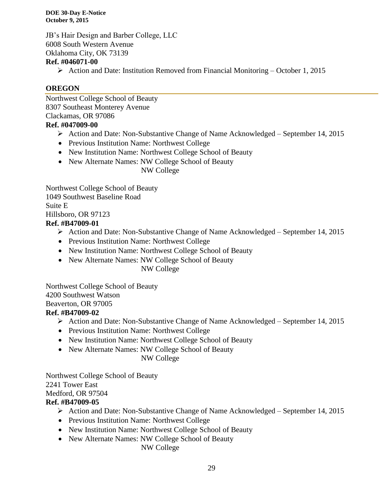JB's Hair Design and Barber College, LLC 6008 South Western Avenue Oklahoma City, OK 73139

#### **Ref. #046071-00**

 $\triangleright$  Action and Date: Institution Removed from Financial Monitoring – October 1, 2015

#### **OREGON**

Northwest College School of Beauty 8307 Southeast Monterey Avenue Clackamas, OR 97086

#### **Ref. #047009-00**

- Action and Date: Non-Substantive Change of Name Acknowledged September 14, 2015
- Previous Institution Name: Northwest College
- New Institution Name: Northwest College School of Beauty
- New Alternate Names: NW College School of Beauty

NW College

Northwest College School of Beauty 1049 Southwest Baseline Road Suite E Hillsboro, OR 97123 **Ref. #B47009-01**

- Action and Date: Non-Substantive Change of Name Acknowledged September 14, 2015
- Previous Institution Name: Northwest College
- New Institution Name: Northwest College School of Beauty
- New Alternate Names: NW College School of Beauty

NW College

Northwest College School of Beauty 4200 Southwest Watson Beaverton, OR 97005

#### **Ref. #B47009-02**

- $\triangleright$  Action and Date: Non-Substantive Change of Name Acknowledged September 14, 2015
- Previous Institution Name: Northwest College
- New Institution Name: Northwest College School of Beauty
- New Alternate Names: NW College School of Beauty

NW College

Northwest College School of Beauty 2241 Tower East Medford, OR 97504 **Ref. #B47009-05**

- $\triangleright$  Action and Date: Non-Substantive Change of Name Acknowledged September 14, 2015
- Previous Institution Name: Northwest College
- New Institution Name: Northwest College School of Beauty
- New Alternate Names: NW College School of Beauty

NW College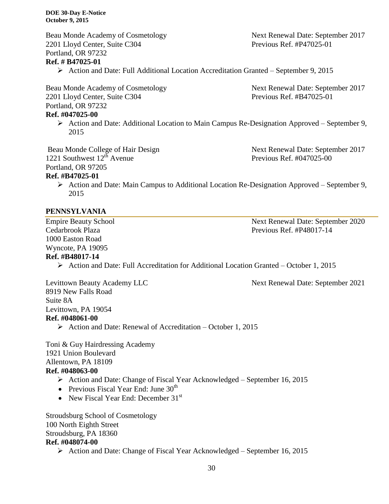Beau Monde Academy of Cosmetology Next Renewal Date: September 2017 2201 Lloyd Center, Suite C304 Previous Ref. #P47025-01 Portland, OR 97232

#### **Ref. # B47025-01**

Action and Date: Full Additional Location Accreditation Granted – September 9, 2015

Beau Monde Academy of Cosmetology Next Renewal Date: September 2017 2201 Lloyd Center, Suite C304 Previous Ref. #B47025-01 Portland, OR 97232

#### **Ref. #047025-00**

 Action and Date: Additional Location to Main Campus Re-Designation Approved – September 9, 2015

Beau Monde College of Hair Design Next Renewal Date: September 2017 1221 Southwest  $12^{th}$  Avenue Previous Ref. #047025-00 Portland, OR 97205 **Ref. #B47025-01**

 Action and Date: Main Campus to Additional Location Re-Designation Approved – September 9, 2015

#### **PENNSYLVANIA**

1000 Easton Road Wyncote, PA 19095

Empire Beauty School Next Renewal Date: September 2020 Cedarbrook Plaza **Previous Ref. #P48017-14** 

#### **Ref. #B48017-14**

Action and Date: Full Accreditation for Additional Location Granted – October 1, 2015

Levittown Beauty Academy LLC Next Renewal Date: September 2021 8919 New Falls Road Suite 8A Levittown, PA 19054 **Ref. #048061-00**

Action and Date: Renewal of Accreditation – October 1, 2015

Toni & Guy Hairdressing Academy 1921 Union Boulevard Allentown, PA 18109 **Ref. #048063-00**

- Action and Date: Change of Fiscal Year Acknowledged September 16, 2015
- Previous Fiscal Year End: June  $30<sup>th</sup>$
- New Fiscal Year End: December  $31<sup>st</sup>$

Stroudsburg School of Cosmetology 100 North Eighth Street Stroudsburg, PA 18360 **Ref. #048074-00**

Action and Date: Change of Fiscal Year Acknowledged – September 16, 2015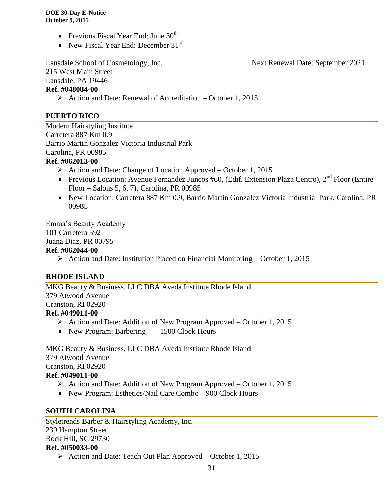- Previous Fiscal Year End: June  $30<sup>th</sup>$
- New Fiscal Year End: December  $31<sup>st</sup>$

Lansdale School of Cosmetology, Inc. Next Renewal Date: September 2021

215 West Main Street Lansdale, PA 19446

#### **Ref. #048084-00**

Action and Date: Renewal of Accreditation – October 1, 2015

## **PUERTO RICO**

Modern Hairstyling Institute Carretera 887 Km 0.9 Barrio Martin Gonzalez Victoria Industrial Park Carolina, PR 00985 **Ref. #062013-00**

- $\triangleright$  Action and Date: Change of Location Approved October 1, 2015
- Previous Location: Avenue Fernandez Juncos #60, (Edif. Extension Plaza Centro),  $2<sup>nd</sup>$  Floor (Entire Floor – Salons 5, 6, 7), Carolina, PR 00985
- New Location: Carretera 887 Km 0.9, Barrio Martin Gonzalez Victoria Industrial Park, Carolina, PR 00985

Emma's Beauty Academy

# 101 Carretera 592

Juana Diaz, PR 00795

#### **Ref. #062044-00**

Action and Date: Institution Placed on Financial Monitoring – October 1, 2015

#### **RHODE ISLAND**

MKG Beauty & Business, LLC DBA Aveda Institute Rhode Island 379 Atwood Avenue Cranston, RI 02920 **Ref. #049011-00**

- Action and Date: Addition of New Program Approved October 1, 2015
- New Program: Barbering 1500 Clock Hours

MKG Beauty & Business, LLC DBA Aveda Institute Rhode Island 379 Atwood Avenue Cranston, RI 02920

#### **Ref. #049011-00**

- Action and Date: Addition of New Program Approved October 1, 2015
- New Program: Esthetics/Nail Care Combo 900 Clock Hours

#### **SOUTH CAROLINA**

Styletrends Barber & Hairstyling Academy, Inc. 239 Hampton Street Rock Hill, SC 29730 **Ref. #050033-00**

Action and Date: Teach Out Plan Approved – October 1, 2015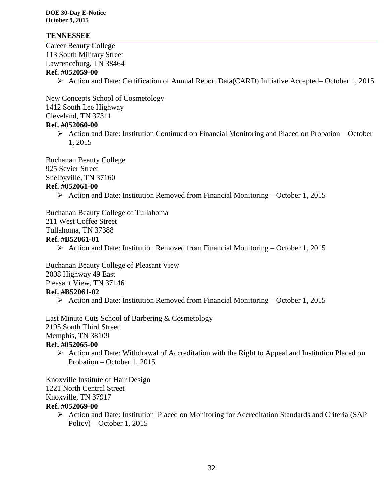#### **TENNESSEE**

Career Beauty College 113 South Military Street Lawrenceburg, TN 38464

#### **Ref. #052059-00**

Action and Date: Certification of Annual Report Data(CARD) Initiative Accepted– October 1, 2015

New Concepts School of Cosmetology 1412 South Lee Highway Cleveland, TN 37311 **Ref. #052060-00**

 Action and Date: Institution Continued on Financial Monitoring and Placed on Probation – October 1, 2015

Buchanan Beauty College 925 Sevier Street Shelbyville, TN 37160

#### **Ref. #052061-00**

 $\triangleright$  Action and Date: Institution Removed from Financial Monitoring – October 1, 2015

Buchanan Beauty College of Tullahoma 211 West Coffee Street Tullahoma, TN 37388 **Ref. #B52061-01**

Action and Date: Institution Removed from Financial Monitoring – October 1, 2015

Buchanan Beauty College of Pleasant View 2008 Highway 49 East Pleasant View, TN 37146 **Ref. #B52061-02**

 $\triangleright$  Action and Date: Institution Removed from Financial Monitoring – October 1, 2015

Last Minute Cuts School of Barbering & Cosmetology 2195 South Third Street Memphis, TN 38109 **Ref. #052065-00**

 $\triangleright$  Action and Date: Withdrawal of Accreditation with the Right to Appeal and Institution Placed on Probation – October 1, 2015

Knoxville Institute of Hair Design 1221 North Central Street Knoxville, TN 37917 **Ref. #052069-00**

> Action and Date: Institution Placed on Monitoring for Accreditation Standards and Criteria (SAP Policy) – October 1, 2015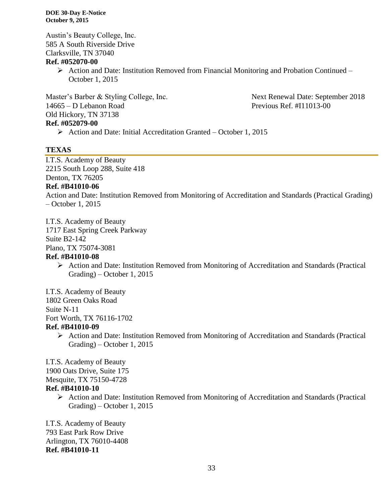Austin's Beauty College, Inc. 585 A South Riverside Drive Clarksville, TN 37040

#### **Ref. #052070-00**

 $\triangleright$  Action and Date: Institution Removed from Financial Monitoring and Probation Continued – October 1, 2015

Master's Barber & Styling College, Inc. Next Renewal Date: September 2018 14665 – D Lebanon Road Previous Ref. #I11013-00 Old Hickory, TN 37138 **Ref. #052079-00**

### $\triangleright$  Action and Date: Initial Accreditation Granted – October 1, 2015

#### **TEXAS**

I.T.S. Academy of Beauty 2215 South Loop 288, Suite 418 Denton, TX 76205

#### **Ref. #B41010-06**

Action and Date: Institution Removed from Monitoring of Accreditation and Standards (Practical Grading) – October 1, 2015

I.T.S. Academy of Beauty

1717 East Spring Creek Parkway

Suite B2-142

Plano, TX 75074-3081

#### **Ref. #B41010-08**

 Action and Date: Institution Removed from Monitoring of Accreditation and Standards (Practical Grading) – October 1, 2015

I.T.S. Academy of Beauty 1802 Green Oaks Road Suite N-11 Fort Worth, TX 76116-1702 **Ref. #B41010-09**

- - Action and Date: Institution Removed from Monitoring of Accreditation and Standards (Practical Grading) – October 1, 2015

I.T.S. Academy of Beauty

1900 Oats Drive, Suite 175

Mesquite, TX 75150-4728

#### **Ref. #B41010-10**

 Action and Date: Institution Removed from Monitoring of Accreditation and Standards (Practical Grading) – October 1, 2015

I.T.S. Academy of Beauty 793 East Park Row Drive Arlington, TX 76010-4408 **Ref. #B41010-11**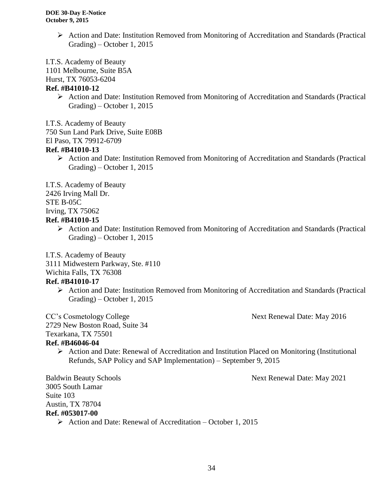Action and Date: Institution Removed from Monitoring of Accreditation and Standards (Practical Grading) – October 1, 2015

I.T.S. Academy of Beauty

1101 Melbourne, Suite B5A

Hurst, TX 76053-6204

#### **Ref. #B41010-12**

 $\triangleright$  Action and Date: Institution Removed from Monitoring of Accreditation and Standards (Practical Grading) – October 1, 2015

I.T.S. Academy of Beauty

750 Sun Land Park Drive, Suite E08B

El Paso, TX 79912-6709

#### **Ref. #B41010-13**

 Action and Date: Institution Removed from Monitoring of Accreditation and Standards (Practical Grading) – October 1, 2015

I.T.S. Academy of Beauty

2426 Irving Mall Dr.

STE B-05C

Irving, TX 75062

#### **Ref. #B41010-15**

 $\triangleright$  Action and Date: Institution Removed from Monitoring of Accreditation and Standards (Practical Grading) – October 1, 2015

I.T.S. Academy of Beauty

3111 Midwestern Parkway, Ste. #110

Wichita Falls, TX 76308

# **Ref. #B41010-17**

 Action and Date: Institution Removed from Monitoring of Accreditation and Standards (Practical Grading) – October 1, 2015

CC's Cosmetology College Next Renewal Date: May 2016

2729 New Boston Road, Suite 34

Texarkana, TX 75501

# **Ref. #B46046-04**

 $\triangleright$  Action and Date: Renewal of Accreditation and Institution Placed on Monitoring (Institutional Refunds, SAP Policy and SAP Implementation) – September 9, 2015

3005 South Lamar Suite 103 Austin, TX 78704 **Ref. #053017-00**

 $\triangleright$  Action and Date: Renewal of Accreditation – October 1, 2015

Baldwin Beauty Schools Next Renewal Date: May 2021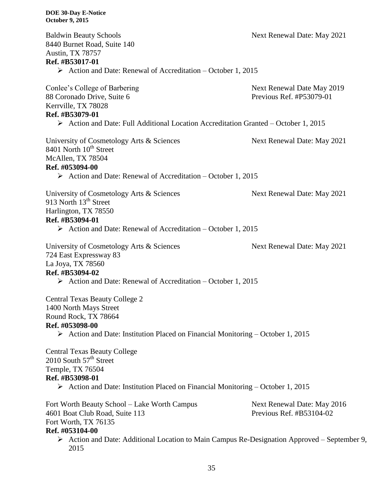| <b>Baldwin Beauty Schools</b><br>8440 Burnet Road, Suite 140<br><b>Austin, TX 78757</b>                                                                                                                            | Next Renewal Date: May 2021                                                                                 |
|--------------------------------------------------------------------------------------------------------------------------------------------------------------------------------------------------------------------|-------------------------------------------------------------------------------------------------------------|
| Ref. #B53017-01                                                                                                                                                                                                    |                                                                                                             |
| $\triangleright$ Action and Date: Renewal of Accreditation – October 1, 2015                                                                                                                                       |                                                                                                             |
| Conlee's College of Barbering<br>88 Coronado Drive, Suite 6<br>Kerrville, TX 78028<br>Ref. #B53079-01                                                                                                              | Next Renewal Date May 2019<br>Previous Ref. #P53079-01                                                      |
| $\triangleright$ Action and Date: Full Additional Location Accreditation Granted – October 1, 2015                                                                                                                 |                                                                                                             |
| University of Cosmetology Arts & Sciences<br>8401 North 10 <sup>th</sup> Street<br>McAllen, TX 78504<br>Ref. #053094-00                                                                                            | Next Renewal Date: May 2021                                                                                 |
| $\triangleright$ Action and Date: Renewal of Accreditation – October 1, 2015                                                                                                                                       |                                                                                                             |
| University of Cosmetology Arts & Sciences<br>913 North 13 <sup>th</sup> Street<br>Harlington, TX 78550<br>Ref. #B53094-01                                                                                          | Next Renewal Date: May 2021                                                                                 |
| $\triangleright$ Action and Date: Renewal of Accreditation – October 1, 2015                                                                                                                                       |                                                                                                             |
| University of Cosmetology Arts & Sciences<br>724 East Expressway 83<br>La Joya, TX 78560<br>Ref. #B53094-02                                                                                                        | Next Renewal Date: May 2021                                                                                 |
| $\triangleright$ Action and Date: Renewal of Accreditation – October 1, 2015                                                                                                                                       |                                                                                                             |
| <b>Central Texas Beauty College 2</b><br>1400 North Mays Street<br>Round Rock, TX 78664<br>Ref. #053098-00<br>$\triangleright$ Action and Date: Institution Placed on Financial Monitoring – October 1, 2015       |                                                                                                             |
| <b>Central Texas Beauty College</b><br>2010 South 57 <sup>th</sup> Street<br>Temple, TX 76504<br>Ref. #B53098-01<br>$\triangleright$ Action and Date: Institution Placed on Financial Monitoring – October 1, 2015 |                                                                                                             |
|                                                                                                                                                                                                                    |                                                                                                             |
| Fort Worth Beauty School - Lake Worth Campus<br>4601 Boat Club Road, Suite 113<br>Fort Worth, TX 76135<br>Ref. #053104-00                                                                                          | Next Renewal Date: May 2016<br>Previous Ref. #B53104-02                                                     |
| 2015                                                                                                                                                                                                               | $\triangleright$ Action and Date: Additional Location to Main Campus Re-Designation Approved – September 9, |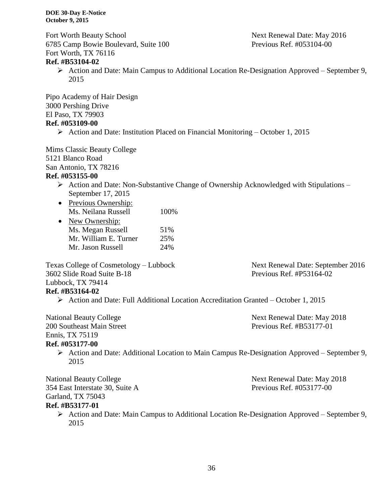Fort Worth Beauty School **Next Renewal Date: May 2016** 6785 Camp Bowie Boulevard, Suite 100 Previous Ref. #053104-00 Fort Worth, TX 76116

#### **Ref. #B53104-02**

 Action and Date: Main Campus to Additional Location Re-Designation Approved – September 9, 2015

Pipo Academy of Hair Design 3000 Pershing Drive El Paso, TX 79903

## **Ref. #053109-00**

Action and Date: Institution Placed on Financial Monitoring – October 1, 2015

Mims Classic Beauty College 5121 Blanco Road San Antonio, TX 78216 **Ref. #053155-00**

- $\triangleright$  Action and Date: Non-Substantive Change of Ownership Acknowledged with Stipulations September 17, 2015
- Previous Ownership: Ms. Neilana Russell 100%

| $\bullet$ | New Ownership:        |     |
|-----------|-----------------------|-----|
|           | Ms. Megan Russell     | 51% |
|           | Mr. William E. Turner | 25% |
|           | Mr. Jason Russell     | 24% |

Texas College of Cosmetology – Lubbock Next Renewal Date: September 2016 3602 Slide Road Suite B-18 Previous Ref. #P53164-02 Lubbock, TX 79414

**Ref. #B53164-02**

Action and Date: Full Additional Location Accreditation Granted – October 1, 2015

National Beauty College Next Renewal Date: May 2018 200 Southeast Main Street Previous Ref. #B53177-01

Ennis, TX 75119

#### **Ref. #053177-00**

 Action and Date: Additional Location to Main Campus Re-Designation Approved – September 9, 2015

National Beauty College Next Renewal Date: May 2018 354 East Interstate 30, Suite A Previous Ref. #053177-00 Garland, TX 75043

#### **Ref. #B53177-01**

 Action and Date: Main Campus to Additional Location Re-Designation Approved – September 9, 2015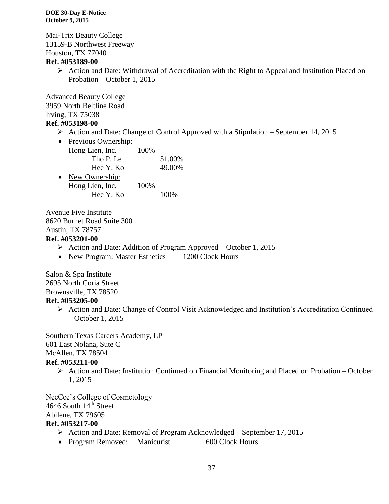Mai-Trix Beauty College 13159-B Northwest Freeway Houston, TX 77040

#### **Ref. #053189-00**

 Action and Date: Withdrawal of Accreditation with the Right to Appeal and Institution Placed on Probation – October 1, 2015

Advanced Beauty College 3959 North Beltline Road Irving, TX 75038

#### **Ref. #053198-00**

 $\triangleright$  Action and Date: Change of Control Approved with a Stipulation – September 14, 2015

| Previous Ownership: |      |        |
|---------------------|------|--------|
| Hong Lien, Inc.     | 100% |        |
| Tho P. Le           |      | 51.00% |
| Hee Y. Ko           |      | 49.00% |
| New Ownership:      |      |        |
| Hong Lien, Inc.     | 100% |        |
| Hee Y. Ko           |      | 100%   |
|                     |      |        |

Avenue Five Institute 8620 Burnet Road Suite 300 Austin, TX 78757 **Ref. #053201-00**

- Action and Date: Addition of Program Approved October 1, 2015
- New Program: Master Esthetics 1200 Clock Hours

Salon & Spa Institute 2695 North Coria Street Brownsville, TX 78520 **Ref. #053205-00**

 Action and Date: Change of Control Visit Acknowledged and Institution's Accreditation Continued – October 1, 2015

Southern Texas Careers Academy, LP 601 East Nolana, Sute C McAllen, TX 78504 **Ref. #053211-00**

 $\triangleright$  Action and Date: Institution Continued on Financial Monitoring and Placed on Probation – October 1, 2015

NeeCee's College of Cosmetology 4646 South 14<sup>th</sup> Street Abilene, TX 79605

## **Ref. #053217-00**

- $\triangleright$  Action and Date: Removal of Program Acknowledged September 17, 2015
- Program Removed: Manicurist 600 Clock Hours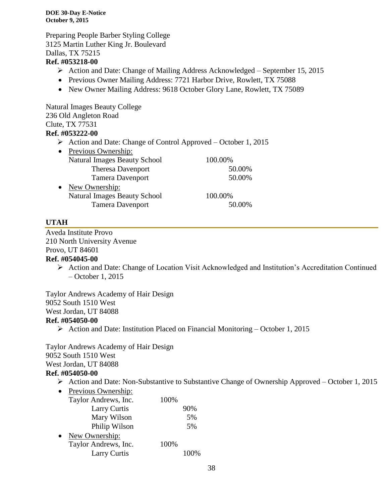Preparing People Barber Styling College 3125 Martin Luther King Jr. Boulevard Dallas, TX 75215

#### **Ref. #053218-00**

- Action and Date: Change of Mailing Address Acknowledged September 15, 2015
- Previous Owner Mailing Address: 7721 Harbor Drive, Rowlett, TX 75088
- New Owner Mailing Address: 9618 October Glory Lane, Rowlett, TX 75089

Natural Images Beauty College 236 Old Angleton Road Clute, TX 77531 **Ref. #053222-00**

Action and Date: Change of Control Approved – October 1, 2015

| 50.00%             |
|--------------------|
| 50.00%             |
|                    |
|                    |
| 50.00%             |
| 100.00%<br>100.00% |

#### **UTAH**

Aveda Institute Provo 210 North University Avenue Provo, UT 84601 **Ref. #054045-00**

> Action and Date: Change of Location Visit Acknowledged and Institution's Accreditation Continued – October 1, 2015

Taylor Andrews Academy of Hair Design 9052 South 1510 West West Jordan, UT 84088 **Ref. #054050-00**

Action and Date: Institution Placed on Financial Monitoring – October 1, 2015

Taylor Andrews Academy of Hair Design 9052 South 1510 West West Jordan, UT 84088

#### **Ref. #054050-00**

- $\triangleright$  Action and Date: Non-Substantive to Substantive Change of Ownership Approved October 1, 2015
- Previous Ownership: Taylor Andrews, Inc. 100% Larry Curtis 90% Mary Wilson 5% Philip Wilson 5% • New Ownership: Taylor Andrews, Inc. 100% Larry Curtis 100%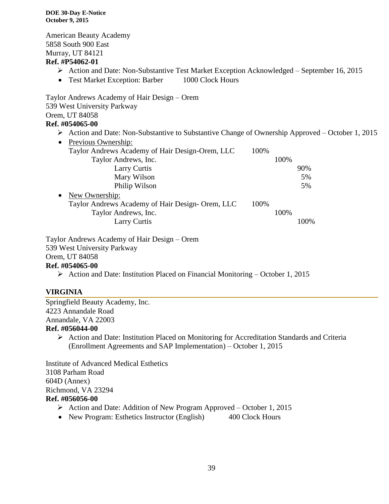American Beauty Academy 5858 South 900 East Murray, UT 84121

#### **Ref. #P54062-01**

- Action and Date: Non-Substantive Test Market Exception Acknowledged September 16, 2015
- Test Market Exception: Barber 1000 Clock Hours

Taylor Andrews Academy of Hair Design – Orem 539 West University Parkway Orem, UT 84058

## **Ref. #054065-00**

 $\triangleright$  Action and Date: Non-Substantive to Substantive Change of Ownership Approved – October 1, 2015

| $\bullet$ | Previous Ownership:                             |      |      |      |  |
|-----------|-------------------------------------------------|------|------|------|--|
|           | Taylor Andrews Academy of Hair Design-Orem, LLC | 100% |      |      |  |
|           | Taylor Andrews, Inc.                            |      | 100% |      |  |
|           | Larry Curtis                                    |      |      | 90%  |  |
|           | Mary Wilson                                     |      |      | 5%   |  |
|           | Philip Wilson                                   |      |      | 5%   |  |
| $\bullet$ | New Ownership:                                  |      |      |      |  |
|           | Taylor Andrews Academy of Hair Design-Orem, LLC | 100% |      |      |  |
|           | Taylor Andrews, Inc.                            |      | 100% |      |  |
|           | <b>Larry Curtis</b>                             |      |      | 100% |  |

Taylor Andrews Academy of Hair Design – Orem 539 West University Parkway Orem, UT 84058 **Ref. #054065-00**

Action and Date: Institution Placed on Financial Monitoring – October 1, 2015

#### **VIRGINIA**

Springfield Beauty Academy, Inc. 4223 Annandale Road Annandale, VA 22003 **Ref. #056044-00**

> Action and Date: Institution Placed on Monitoring for Accreditation Standards and Criteria (Enrollment Agreements and SAP Implementation) – October 1, 2015

Institute of Advanced Medical Esthetics 3108 Parham Road 604D (Annex) Richmond, VA 23294 **Ref. #056056-00**

- $\triangleright$  Action and Date: Addition of New Program Approved October 1, 2015
- New Program: Esthetics Instructor (English) 400 Clock Hours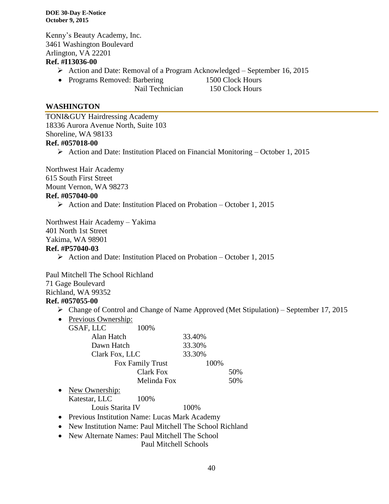Kenny's Beauty Academy, Inc. 3461 Washington Boulevard Arlington, VA 22201

#### **Ref. #I13036-00**

- Action and Date: Removal of a Program Acknowledged September 16, 2015
- Programs Removed: Barbering 1500 Clock Hours
	-

Nail Technician 150 Clock Hours

#### **WASHINGTON**

TONI&GUY Hairdressing Academy 18336 Aurora Avenue North, Suite 103 Shoreline, WA 98133 **Ref. #057018-00**

 $\triangleright$  Action and Date: Institution Placed on Financial Monitoring – October 1, 2015

Northwest Hair Academy 615 South First Street Mount Vernon, WA 98273 **Ref. #057040-00**

 $\triangleright$  Action and Date: Institution Placed on Probation – October 1, 2015

Northwest Hair Academy – Yakima 401 North 1st Street Yakima, WA 98901

#### **Ref. #P57040-03**

 $\triangleright$  Action and Date: Institution Placed on Probation – October 1, 2015

Paul Mitchell The School Richland

71 Gage Boulevard

Richland, WA 99352

#### **Ref. #057055-00**

- Change of Control and Change of Name Approved (Met Stipulation) September 17, 2015
- Previous Ownership:

|           | GSAF, LLC                              | 100%             |          |     |
|-----------|----------------------------------------|------------------|----------|-----|
|           | Alan Hatch                             |                  | 33.40%   |     |
|           | Dawn Hatch                             |                  | 33.30%   |     |
|           | Clark Fox, LLC                         |                  | 33.30%   |     |
|           |                                        | Fox Family Trust | 100%     |     |
|           |                                        | <b>Clark Fox</b> |          | 50% |
|           |                                        | Melinda Fox      |          | 50% |
| $\bullet$ | New Ownership:                         |                  |          |     |
|           | Katestar, LLC                          | 100%             |          |     |
|           | $\mathbf{r}$ $\mathbf{r}$ $\mathbf{r}$ |                  | $\cdots$ |     |

Louis Starita IV 100%

• Previous Institution Name: Lucas Mark Academy

• New Institution Name: Paul Mitchell The School Richland

• New Alternate Names: Paul Mitchell The School Paul Mitchell Schools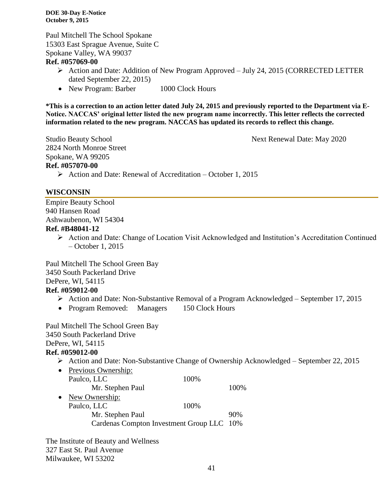Paul Mitchell The School Spokane 15303 East Sprague Avenue, Suite C Spokane Valley, WA 99037

#### **Ref. #057069-00**

- Action and Date: Addition of New Program Approved July 24, 2015 (CORRECTED LETTER dated September 22, 2015)
- New Program: Barber 1000 Clock Hours

**\*This is a correction to an action letter dated July 24, 2015 and previously reported to the Department via E-Notice. NACCAS' original letter listed the new program name incorrectly. This letter reflects the corrected information related to the new program. NACCAS has updated its records to reflect this change.**

Studio Beauty School Next Renewal Date: May 2020 2824 North Monroe Street Spokane, WA 99205 **Ref. #057070-00**

- 
- $\triangleright$  Action and Date: Renewal of Accreditation October 1, 2015

#### **WISCONSIN**

Empire Beauty School 940 Hansen Road Ashwaubenon, WI 54304

#### **Ref. #B48041-12**

 Action and Date: Change of Location Visit Acknowledged and Institution's Accreditation Continued – October 1, 2015

Paul Mitchell The School Green Bay 3450 South Packerland Drive

# DePere, WI, 54115

# **Ref. #059012-00**

- Action and Date: Non-Substantive Removal of a Program Acknowledged September 17, 2015
- Program Removed: Managers 150 Clock Hours

Paul Mitchell The School Green Bay 3450 South Packerland Drive DePere, WI, 54115 **Ref. #059012-00**

Action and Date: Non-Substantive Change of Ownership Acknowledged – September 22, 2015

| Previous Ownership:                       |       |
|-------------------------------------------|-------|
| Paulco, LLC<br>100%                       |       |
| Mr. Stephen Paul                          | 100\% |
| New Ownership:                            |       |
| Paulco, LLC<br>100%                       |       |
| Mr. Stephen Paul                          | 90%   |
| Cardenas Compton Investment Group LLC 10% |       |
|                                           |       |

The Institute of Beauty and Wellness 327 East St. Paul Avenue Milwaukee, WI 53202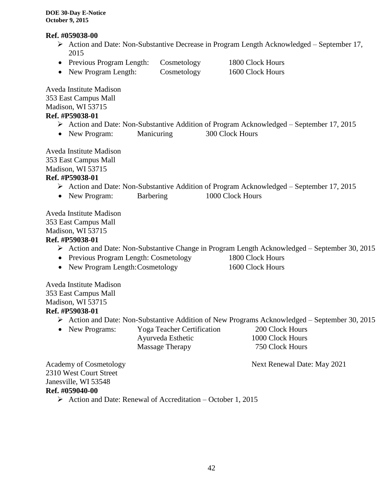#### **Ref. #059038-00**

- Action and Date: Non-Substantive Decrease in Program Length Acknowledged September 17, 2015
- Previous Program Length: Cosmetology 1800 Clock Hours
- New Program Length: Cosmetology 1600 Clock Hours

Aveda Institute Madison 353 East Campus Mall Madison, WI 53715

# **Ref. #P59038-01**

- $\triangleright$  Action and Date: Non-Substantive Addition of Program Acknowledged September 17, 2015
- New Program: Manicuring 300 Clock Hours

Aveda Institute Madison 353 East Campus Mall

Madison, WI 53715

#### **Ref. #P59038-01**

- Action and Date: Non-Substantive Addition of Program Acknowledged September 17, 2015
- New Program: Barbering 1000 Clock Hours

Aveda Institute Madison 353 East Campus Mall Madison, WI 53715

#### **Ref. #P59038-01**

- Action and Date: Non-Substantive Change in Program Length Acknowledged September 30, 2015
- Previous Program Length: Cosmetology 1800 Clock Hours
- New Program Length: Cosmetology 1600 Clock Hours

Aveda Institute Madison 353 East Campus Mall Madison, WI 53715

#### **Ref. #P59038-01**

- Action and Date: Non-Substantive Addition of New Programs Acknowledged September 30, 2015
- New Programs: Yoga Teacher Certification 200 Clock Hours

Ayurveda Esthetic 1000 Clock Hours Massage Therapy 750 Clock Hours

Academy of Cosmetology Next Renewal Date: May 2021

2310 West Court Street Janesville, WI 53548 **Ref. #059040-00**

Action and Date: Renewal of Accreditation – October 1, 2015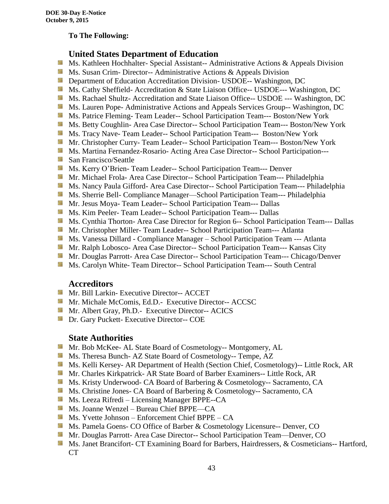#### **To The Following:**

# **United States Department of Education**

- Sila Ms. Kathleen Hochhalter- Special Assistant-- Administrative Actions & Appeals Division
- **Ms.** Susan Crim-Director-- Administrative Actions  $\&$  Appeals Division
- **Department of Education Accreditation Division- USDOE-- Washington, DC**
- Ms. Cathy Sheffield- Accreditation & State Liaison Office-- USDOE--- Washington, DC
- **MS. Rachael Shultz- Accreditation and State Liaison Office-- USDOE --- Washington, DC**
- Ms. Lauren Pope- Administrative Actions and Appeals Services Group-- Washington, DC
- Ms. Patrice Fleming-Team Leader-- School Participation Team--- Boston/New York
- **MS. Betty Coughlin- Area Case Director-- School Participation Team--- Boston/New York**
- **MS. Tracy Nave-Team Leader-- School Participation Team--- Boston/New York**
- **Mr. Christopher Curry- Team Leader-- School Participation Team--- Boston/New York**
- **Ms. Martina Fernandez-Rosario-Acting Area Case Director-- School Participation---**
- **San Francisco/Seattle**
- **MS. Kerry O'Brien- Team Leader-- School Participation Team--- Denver**
- **Mr. Michael Frola- Area Case Director-- School Participation Team--- Philadelphia**
- **Ms. Nancy Paula Gifford- Area Case Director-- School Participation Team--- Philadelphia**
- Ms. Sherrie Bell- Compliance Manager—School Participation Team--- Philadelphia
- **Mr. Jesus Moya- Team Leader-- School Participation Team--- Dallas**
- **MS. Kim Peeler- Team Leader-- School Participation Team--- Dallas**
- **Ms. Cynthia Thorton- Area Case Director for Region 6-- School Participation Team--- Dallas**
- **Mr.** Christopher Miller-Team Leader-- School Participation Team--- Atlanta
- **MS. Vanessa Dillard Compliance Manager School Participation Team --- Atlanta**
- Mr. Ralph Lobosco- Area Case Director-- School Participation Team--- Kansas City
- **Mr. Douglas Parrott- Area Case Director-- School Participation Team--- Chicago/Denver**
- **MS. Carolyn White-Team Director-- School Participation Team--- South Central**

#### **Accreditors**

- **Mr. Bill Larkin- Executive Director-- ACCET**
- **Mr. Michale McComis, Ed.D.- Executive Director-- ACCSC**
- **Mr.** Albert Gray, Ph.D.- Executive Director-- ACICS
- **Dr.** Gary Puckett- Executive Director-- COE

#### **State Authorities**

- Mr. Bob McKee- AL State Board of Cosmetology-- Montgomery, AL
- Ms. Theresa Bunch- AZ State Board of Cosmetology-- Tempe, AZ
- **Ms. Kelli Kersey- AR Department of Health (Section Chief, Cosmetology)**-- Little Rock, AR
- Mr. Charles Kirkpatrick- AR State Board of Barber Examiners-- Little Rock, AR
- Ms. Kristy Underwood- CA Board of Barbering & Cosmetology-- Sacramento, CA
- **Ms.** Christine Jones- CA Board of Barbering & Cosmetology-- Sacramento, CA
- Ms. Leeza Rifredi Licensing Manager BPPE--CA
- Ms. Joanne Wenzel Bureau Chief BPPE—CA
- $M_s$  Ms. Yvette Johnson Enforcement Chief BPPE CA
- **Ms. Pamela Goens- CO Office of Barber & Cosmetology Licensure-- Denver, CO**
- **Mr. Douglas Parrott- Area Case Director-- School Participation Team—Denver, CO**
- **Ms. Janet Brancifort- CT Examining Board for Barbers, Hairdressers, & Cosmeticians-- Hartford,** CT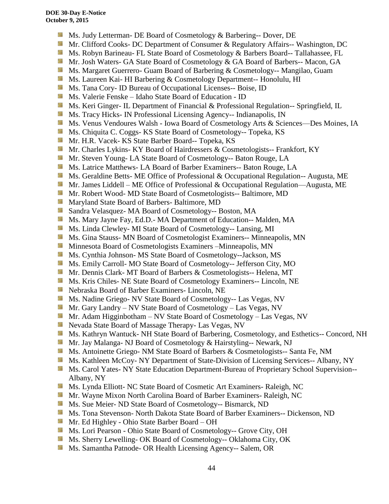- Ms. Judy Letterman- DE Board of Cosmetology & Barbering-- Dover, DE
- **Mr. Clifford Cooks- DC Department of Consumer & Regulatory Affairs-- Washington, DC**
- **Ms. Robyn Barineau- FL State Board of Cosmetology & Barbers Board-- Tallahassee, FL**
- **Mr.** Josh Waters- GA State Board of Cosmetology & GA Board of Barbers-- Macon, GA
- **MS. Margaret Guerrero- Guam Board of Barbering & Cosmetology-- Mangilao, Guam**
- **Ms. Laureen Kai- HI Barbering & Cosmetology Department-- Honolulu, HI**
- **Ms.** Tana Cory- ID Bureau of Occupational Licenses-- Boise, ID
- Ms. Valerie Fenske Idaho State Board of Education ID
- Side. Ms. Keri Ginger- IL Department of Financial & Professional Regulation-- Springfield, IL
- **Ms.** Tracy Hicks- IN Professional Licensing Agency-- Indianapolis, IN
- Ms. Venus Vendoures Walsh Iowa Board of Cosmetology Arts & Sciences—Des Moines, IA
- 58 Ms. Chiquita C. Coggs- KS State Board of Cosmetology-- Topeka, KS
- Mr. H.R. Vacek- KS State Barber Board-- Topeka, KS
- Mr. Charles Lykins- KY Board of Hairdressers & Cosmetologists-- Frankfort, KY
- **Mr. Steven Young- LA State Board of Cosmetology-- Baton Rouge, LA**
- **Ms. Latrice Matthews- LA Board of Barber Examiners-- Baton Rouge, LA**
- **Ms. Geraldine Betts- ME Office of Professional & Occupational Regulation-- Augusta, ME**
- Mr. James Liddell ME Office of Professional & Occupational Regulation—Augusta, ME
- **Mr. Robert Wood- MD State Board of Cosmetologists-- Baltimore, MD**
- **Maryland State Board of Barbers- Baltimore, MD**
- **Sandra Velasquez- MA Board of Cosmetology-- Boston, MA**
- Ms. Mary Jayne Fay, Ed.D.- MA Department of Education-- Malden, MA
- Ms. Linda Clewley- MI State Board of Cosmetology-- Lansing, MI
- **MS.** Gina Stauss- MN Board of Cosmetologist Examiners-- Minneapolis, MN
- 59 Minnesota Board of Cosmetologists Examiners –Minneapolis, MN
- **Ms. Cynthia Johnson- MS State Board of Cosmetology--Jackson, MS**
- **Ms.** Emily Carroll- MO State Board of Cosmetology-- Jefferson City, MO
- Mr. Dennis Clark- MT Board of Barbers & Cosmetologists-- Helena, MT
- **Ms. Kris Chiles- NE State Board of Cosmetology Examiners-- Lincoln, NE**
- Nebraska Board of Barber Examiners- Lincoln, NE
- **Ms. Nadine Griego- NV State Board of Cosmetology-- Las Vegas, NV**
- Mr. Gary Landry NV State Board of Cosmetology Las Vegas, NV
- **Mr.** Adam Higginbotham NV State Board of Cosmetology Las Vegas, NV
- Nevada State Board of Massage Therapy- Las Vegas, NV
- **Ms. Kathryn Wantuck- NH State Board of Barbering, Cosmetology, and Esthetics-- Concord, NH**
- Mr. Jay Malanga- NJ Board of Cosmetology & Hairstyling-- Newark, NJ
- **MS.** Antoinette Griego- NM State Board of Barbers & Cosmetologists-- Santa Fe, NM
- Ms. Kathleen McCoy- NY Department of State-Division of Licensing Services-- Albany, NY
- **Ms. Carol Yates- NY State Education Department-Bureau of Proprietary School Supervision--**Albany, NY
- **Ms. Lynda Elliott- NC State Board of Cosmetic Art Examiners- Raleigh, NC**
- Mr. Wayne Mixon North Carolina Board of Barber Examiners- Raleigh, NC
- Ms. Sue Meier- ND State Board of Cosmetology-- Bismarck, ND
- **Ms. Tona Stevenson- North Dakota State Board of Barber Examiners-- Dickenson, ND**
- Mr. Ed Highley Ohio State Barber Board OH
- Ms. Lori Pearson Ohio State Board of Cosmetology-- Grove City, OH
- **Ms.** Sherry Lewelling- OK Board of Cosmetology-- Oklahoma City, OK
- **Ms. Samantha Patnode- OR Health Licensing Agency-- Salem, OR**